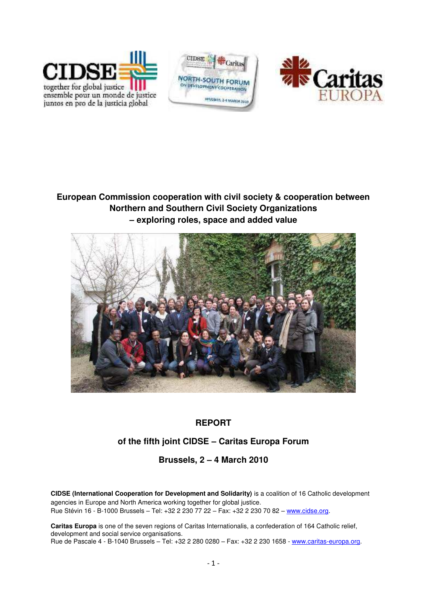





**European Commission cooperation with civil society & cooperation between Northern and Southern Civil Society Organizations – exploring roles, space and added value** 



# **REPORT**

# **of the fifth joint CIDSE – Caritas Europa Forum**

# **Brussels, 2 – 4 March 2010**

**CIDSE (International Cooperation for Development and Solidarity)** is a coalition of 16 Catholic development agencies in Europe and North America working together for global justice. Rue Stévin 16 - B-1000 Brussels – Tel: +32 2 230 77 22 – Fax: +32 2 230 70 82 – [www.cidse.org.](http://www.cidse.org/)

**Caritas Europa** is one of the seven regions of Caritas Internationalis, a confederation of 164 Catholic relief, development and social service organisations. Rue de Pascale 4 - B-1040 Brussels – Tel: +32 2 280 0280 – Fax: +32 2 230 1658 - [www.caritas-europa.org.](http://www.caritas-europa.org/)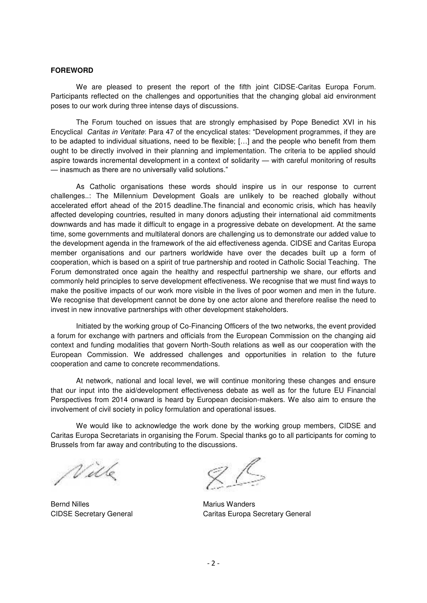#### **FOREWORD**

We are pleased to present the report of the fifth joint CIDSE-Caritas Europa Forum. Participants reflected on the challenges and opportunities that the changing global aid environment poses to our work during three intense days of discussions.

The Forum touched on issues that are strongly emphasised by Pope Benedict XVI in his Encyclical *Caritas in Veritate*: Para 47 of the encyclical states: "Development programmes, if they are to be adapted to individual situations, need to be flexible; […] and the people who benefit from them ought to be directly involved in their planning and implementation. The criteria to be applied should aspire towards incremental development in a context of solidarity — with careful monitoring of results — inasmuch as there are no universally valid solutions."

As Catholic organisations these words should inspire us in our response to current challenges..: The Millennium Development Goals are unlikely to be reached globally without accelerated effort ahead of the 2015 deadline.The financial and economic crisis, which has heavily affected developing countries, resulted in many donors adjusting their international aid commitments downwards and has made it difficult to engage in a progressive debate on development. At the same time, some governments and multilateral donors are challenging us to demonstrate our added value to the development agenda in the framework of the aid effectiveness agenda. CIDSE and Caritas Europa member organisations and our partners worldwide have over the decades built up a form of cooperation, which is based on a spirit of true partnership and rooted in Catholic Social Teaching. The Forum demonstrated once again the healthy and respectful partnership we share, our efforts and commonly held principles to serve development effectiveness. We recognise that we must find ways to make the positive impacts of our work more visible in the lives of poor women and men in the future. We recognise that development cannot be done by one actor alone and therefore realise the need to invest in new innovative partnerships with other development stakeholders.

Initiated by the working group of Co-Financing Officers of the two networks, the event provided a forum for exchange with partners and officials from the European Commission on the changing aid context and funding modalities that govern North-South relations as well as our cooperation with the European Commission. We addressed challenges and opportunities in relation to the future cooperation and came to concrete recommendations.

At network, national and local level, we will continue monitoring these changes and ensure that our input into the aid/development effectiveness debate as well as for the future EU Financial Perspectives from 2014 onward is heard by European decision-makers. We also aim to ensure the involvement of civil society in policy formulation and operational issues.

We would like to acknowledge the work done by the working group members, CIDSE and Caritas Europa Secretariats in organising the Forum. Special thanks go to all participants for coming to Brussels from far away and contributing to the discussions.

Wilk

Bernd Nilles **Marius Wanders** Marius Wanders

CIDSE Secretary General Caritas Europa Secretary General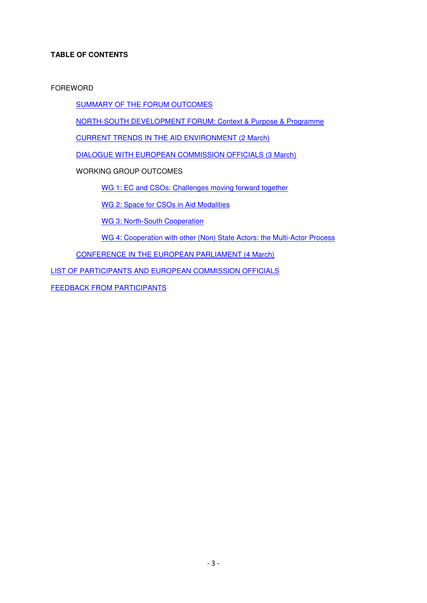## **TABLE OF CONTENTS**

FOREWORD

[SUMMARY OF THE FORUM OUTCOMES](#page-3-0) 

[NORTH-SOUTH DEVELOPMENT FORUM: Context & Purpose & Programme](#page-3-0) 

[CURRENT TRENDS IN THE AID ENVIRONMENT \(2 March\)](#page-11-0)

[DIALOGUE WITH EUROPEAN COMMISSION OFFICIALS \(3 March\)](#page-13-0)

WORKING GROUP OUTCOMES

[WG 1: EC and CSOs: Challenges moving forward together](#page-17-0)

[WG 2: Space for CSOs in Aid Modalities](#page-20-0)

[WG 3: North-South Cooperation](#page-23-0)

[WG 4: Cooperation with other \(Non\) State Actors: the Multi-Actor Process](#page-26-0)

[CONFERENCE IN THE EUROPEAN PARLIAMENT \(4 March\)](#page-31-0)

[LIST OF PARTICIPANTS AND EUROPEAN COMMISSION OFFICIALS](#page-34-0)

[FEEDBACK FROM PARTICIPANTS](#page-38-0)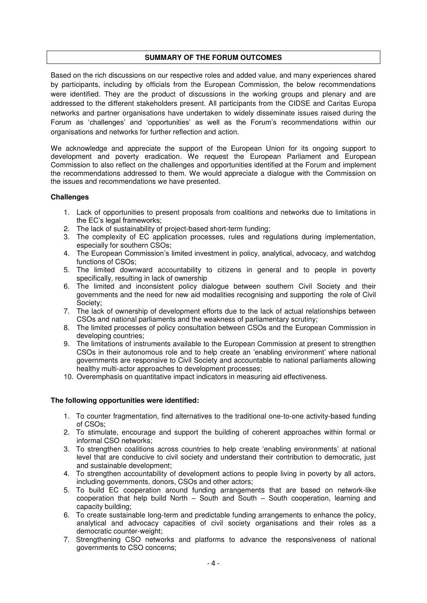#### <span id="page-3-0"></span>**SUMMARY OF THE FORUM OUTCOMES**

Based on the rich discussions on our respective roles and added value, and many experiences shared by participants, including by officials from the European Commission, the below recommendations were identified. They are the product of discussions in the working groups and plenary and are addressed to the different stakeholders present. All participants from the CIDSE and Caritas Europa networks and partner organisations have undertaken to widely disseminate issues raised during the Forum as ‗challenges' and ‗opportunities' as well as the Forum's recommendations within our organisations and networks for further reflection and action.

We acknowledge and appreciate the support of the European Union for its ongoing support to development and poverty eradication. We request the European Parliament and European Commission to also reflect on the challenges and opportunities identified at the Forum and implement the recommendations addressed to them. We would appreciate a dialogue with the Commission on the issues and recommendations we have presented.

#### **Challenges**

- 1. Lack of opportunities to present proposals from coalitions and networks due to limitations in the EC's legal frameworks;
- 2. The lack of sustainability of project-based short-term funding;
- 3. The complexity of EC application processes, rules and regulations during implementation, especially for southern CSOs;
- 4. The European Commission's limited investment in policy, analytical, advocacy, and watchdog functions of CSOs;
- 5. The limited downward accountability to citizens in general and to people in poverty specifically, resulting in lack of ownership
- 6. The limited and inconsistent policy dialogue between southern Civil Society and their governments and the need for new aid modalities recognising and supporting the role of Civil Society;
- 7. The lack of ownership of development efforts due to the lack of actual relationships between CSOs and national parliaments and the weakness of parliamentary scrutiny;
- 8. The limited processes of policy consultation between CSOs and the European Commission in developing countries;
- 9. The limitations of instruments available to the European Commission at present to strengthen CSOs in their autonomous role and to help create an 'enabling environment' where national governments are responsive to Civil Society and accountable to national parliaments allowing healthy multi-actor approaches to development processes;
- 10. Overemphasis on quantitative impact indicators in measuring aid effectiveness.

#### **The following opportunities were identified:**

- 1. To counter fragmentation, find alternatives to the traditional one-to-one activity-based funding of CSOs;
- 2. To stimulate, encourage and support the building of coherent approaches within formal or informal CSO networks;
- 3. To strengthen coalitions across countries to help create 'enabling environments' at national level that are conducive to civil society and understand their contribution to democratic, just and sustainable development;
- 4. To strengthen accountability of development actions to people living in poverty by all actors, including governments, donors, CSOs and other actors;
- 5. To build EC cooperation around funding arrangements that are based on network-like cooperation that help build North – South and South – South cooperation, learning and capacity building;
- 6. To create sustainable long-term and predictable funding arrangements to enhance the policy, analytical and advocacy capacities of civil society organisations and their roles as a democratic counter-weight;
- 7. Strengthening CSO networks and platforms to advance the responsiveness of national governments to CSO concerns;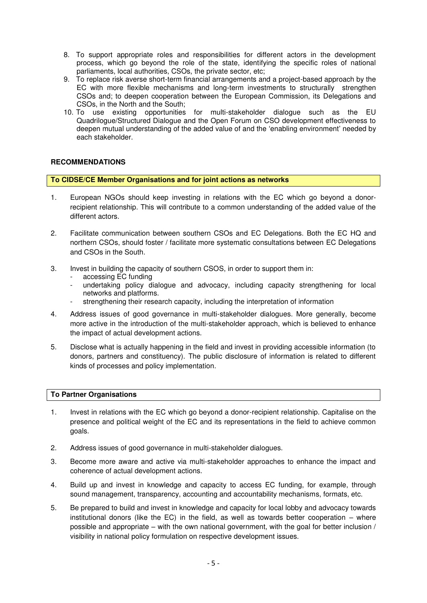- 8. To support appropriate roles and responsibilities for different actors in the development process, which go beyond the role of the state, identifying the specific roles of national parliaments, local authorities, CSOs, the private sector, etc;
- 9. To replace risk averse short-term financial arrangements and a project-based approach by the EC with more flexible mechanisms and long-term investments to structurally strengthen CSOs and; to deepen cooperation between the European Commission, its Delegations and CSOs, in the North and the South;
- 10. To use existing opportunities for multi-stakeholder dialogue such as the EU Quadrilogue/Structured Dialogue and the Open Forum on CSO development effectiveness to deepen mutual understanding of the added value of and the 'enabling environment' needed by each stakeholder.

## **RECOMMENDATIONS**

#### **To CIDSE/CE Member Organisations and for joint actions as networks**

- 1. European NGOs should keep investing in relations with the EC which go beyond a donorrecipient relationship. This will contribute to a common understanding of the added value of the different actors.
- 2. Facilitate communication between southern CSOs and EC Delegations. Both the EC HQ and northern CSOs, should foster / facilitate more systematic consultations between EC Delegations and CSOs in the South.
- 3. Invest in building the capacity of southern CSOS, in order to support them in:
	- accessing EC funding
	- undertaking policy dialogue and advocacy, including capacity strengthening for local networks and platforms.
	- strengthening their research capacity, including the interpretation of information
- 4. Address issues of good governance in multi-stakeholder dialogues. More generally, become more active in the introduction of the multi-stakeholder approach, which is believed to enhance the impact of actual development actions.
- 5. Disclose what is actually happening in the field and invest in providing accessible information (to donors, partners and constituency). The public disclosure of information is related to different kinds of processes and policy implementation.

#### **To Partner Organisations**

- 1. Invest in relations with the EC which go beyond a donor-recipient relationship. Capitalise on the presence and political weight of the EC and its representations in the field to achieve common goals.
- 2. Address issues of good governance in multi-stakeholder dialogues.
- 3. Become more aware and active via multi-stakeholder approaches to enhance the impact and coherence of actual development actions.
- 4. Build up and invest in knowledge and capacity to access EC funding, for example, through sound management, transparency, accounting and accountability mechanisms, formats, etc.
- 5. Be prepared to build and invest in knowledge and capacity for local lobby and advocacy towards institutional donors (like the EC) in the field, as well as towards better cooperation – where possible and appropriate – with the own national government, with the goal for better inclusion / visibility in national policy formulation on respective development issues.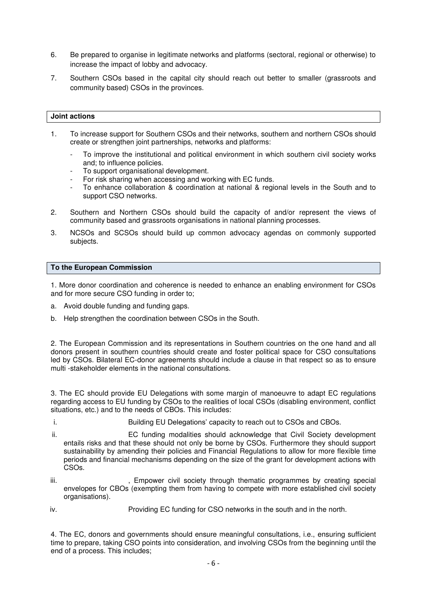- 6. Be prepared to organise in legitimate networks and platforms (sectoral, regional or otherwise) to increase the impact of lobby and advocacy.
- 7. Southern CSOs based in the capital city should reach out better to smaller (grassroots and community based) CSOs in the provinces.

#### **Joint actions**

- 1. To increase support for Southern CSOs and their networks, southern and northern CSOs should create or strengthen joint partnerships, networks and platforms:
	- To improve the institutional and political environment in which southern civil society works and; to influence policies.
	- To support organisational development.
	- For risk sharing when accessing and working with EC funds.
	- To enhance collaboration & coordination at national & regional levels in the South and to support CSO networks.
- 2. Southern and Northern CSOs should build the capacity of and/or represent the views of community based and grassroots organisations in national planning processes.
- 3. NCSOs and SCSOs should build up common advocacy agendas on commonly supported subjects.

#### **To the European Commission**

1. More donor coordination and coherence is needed to enhance an enabling environment for CSOs and for more secure CSO funding in order to;

- a. Avoid double funding and funding gaps.
- b. Help strengthen the coordination between CSOs in the South.

2. The European Commission and its representations in Southern countries on the one hand and all donors present in southern countries should create and foster political space for CSO consultations led by CSOs. Bilateral EC-donor agreements should include a clause in that respect so as to ensure multi -stakeholder elements in the national consultations.

3. The EC should provide EU Delegations with some margin of manoeuvre to adapt EC regulations regarding access to EU funding by CSOs to the realities of local CSOs (disabling environment, conflict situations, etc.) and to the needs of CBOs. This includes:

- i. Building EU Delegations' capacity to reach out to CSOs and CBOs.
- ii. EC funding modalities should acknowledge that Civil Society development entails risks and that these should not only be borne by CSOs. Furthermore they should support sustainability by amending their policies and Financial Regulations to allow for more flexible time periods and financial mechanisms depending on the size of the grant for development actions with CSOs.
- iii.  $\blacksquare$ , Empower civil society through thematic programmes by creating special envelopes for CBOs (exempting them from having to compete with more established civil society organisations).
- iv. Providing EC funding for CSO networks in the south and in the north.

4. The EC, donors and governments should ensure meaningful consultations, i.e., ensuring sufficient time to prepare, taking CSO points into consideration, and involving CSOs from the beginning until the end of a process. This includes;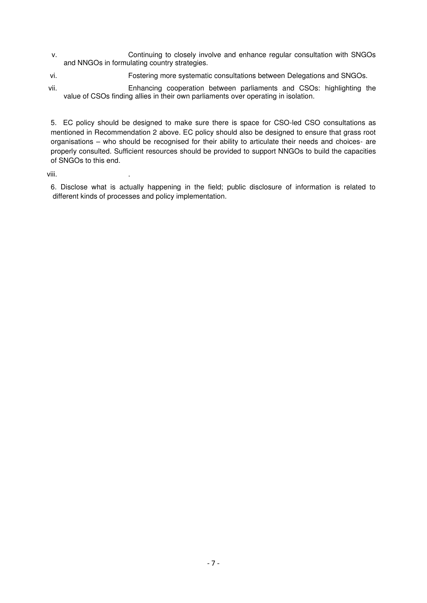- v. Continuing to closely involve and enhance regular consultation with SNGOs and NNGOs in formulating country strategies.
- vi. Fostering more systematic consultations between Delegations and SNGOs.
- vii. Enhancing cooperation between parliaments and CSOs: highlighting the value of CSOs finding allies in their own parliaments over operating in isolation.

5. EC policy should be designed to make sure there is space for CSO-led CSO consultations as mentioned in Recommendation 2 above. EC policy should also be designed to ensure that grass root organisations – who should be recognised for their ability to articulate their needs and choices- are properly consulted. Sufficient resources should be provided to support NNGOs to build the capacities of SNGOs to this end.

viii. .

6. Disclose what is actually happening in the field; public disclosure of information is related to different kinds of processes and policy implementation.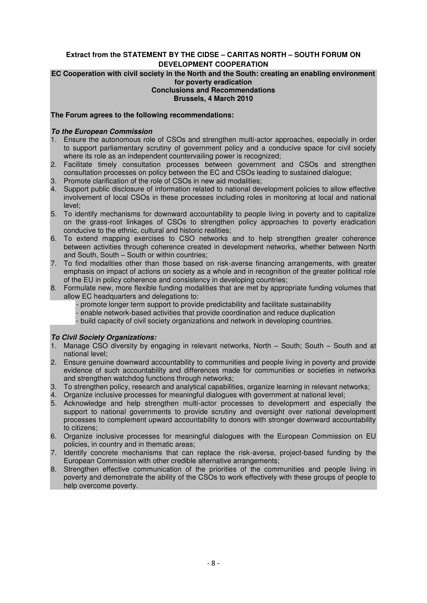## **Extract from the STATEMENT BY THE CIDSE – CARITAS NORTH – SOUTH FORUM ON DEVELOPMENT COOPERATION**

#### **EC Cooperation with civil society in the North and the South: creating an enabling environment for poverty eradication Conclusions and Recommendations Brussels, 4 March 2010**

# **The Forum agrees to the following recommendations:**

## *To the European Commission*

- 1. Ensure the autonomous role of CSOs and strengthen multi-actor approaches, especially in order to support parliamentary scrutiny of government policy and a conducive space for civil society where its role as an independent countervailing power is recognized;
- 2. Facilitate timely consultation processes between government and CSOs and strengthen consultation processes on policy between the EC and CSOs leading to sustained dialogue;
- 3. Promote clarification of the role of CSOs in new aid modalities;
- 4. Support public disclosure of information related to national development policies to allow effective involvement of local CSOs in these processes including roles in monitoring at local and national level;
- 5. To identify mechanisms for downward accountability to people living in poverty and to capitalize on the grass-root linkages of CSOs to strengthen policy approaches to poverty eradication conducive to the ethnic, cultural and historic realities;
- 6. To extend mapping exercises to CSO networks and to help strengthen greater coherence between activities through coherence created in development networks, whether between North and South, South – South or within countries;
- 7. To find modalities other than those based on risk-averse financing arrangements, with greater emphasis on impact of actions on society as a whole and in recognition of the greater political role of the EU in policy coherence and consistency in developing countries;
- 8. Formulate new, more flexible funding modalities that are met by appropriate funding volumes that allow EC headquarters and delegations to:
	- promote longer term support to provide predictability and facilitate sustainability
	- enable network-based activities that provide coordination and reduce duplication
	- build capacity of civil society organizations and network in developing countries.

## *To Civil Society Organizations:*

- 1. Manage CSO diversity by engaging in relevant networks, North South; South South and at national level;
- 2. Ensure genuine downward accountability to communities and people living in poverty and provide evidence of such accountability and differences made for communities or societies in networks and strengthen watchdog functions through networks;
- 3. To strengthen policy, research and analytical capabilities, organize learning in relevant networks;
- 4. Organize inclusive processes for meaningful dialogues with government at national level;
- 5. Acknowledge and help strengthen multi-actor processes to development and especially the support to national governments to provide scrutiny and oversight over national development processes to complement upward accountability to donors with stronger downward accountability to citizens;
- 6. Organize inclusive processes for meaningful dialogues with the European Commission on EU policies, in country and in thematic areas;
- 7. Identify concrete mechanisms that can replace the risk-averse, project-based funding by the European Commission with other credible alternative arrangements;
- 8. Strengthen effective communication of the priorities of the communities and people living in poverty and demonstrate the ability of the CSOs to work effectively with these groups of people to help overcome poverty.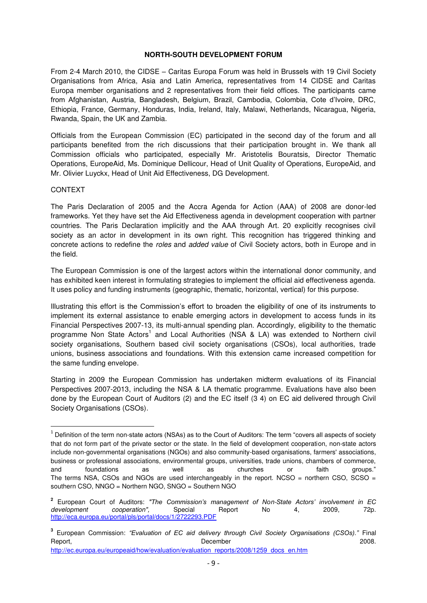#### **NORTH-SOUTH DEVELOPMENT FORUM**

From 2-4 March 2010, the CIDSE – Caritas Europa Forum was held in Brussels with 19 Civil Society Organisations from Africa, Asia and Latin America, representatives from 14 CIDSE and Caritas Europa member organisations and 2 representatives from their field offices. The participants came from Afghanistan, Austria, Bangladesh, Belgium, Brazil, Cambodia, Colombia, Cote d'Ivoire, DRC, Ethiopia, France, Germany, Honduras, India, Ireland, Italy, Malawi, Netherlands, Nicaragua, Nigeria, Rwanda, Spain, the UK and Zambia.

Officials from the European Commission (EC) participated in the second day of the forum and all participants benefited from the rich discussions that their participation brought in. We thank all Commission officials who participated, especially Mr. Aristotelis Bouratsis, Director Thematic Operations, EuropeAid, Ms. Dominique Dellicour, Head of Unit Quality of Operations, EuropeAid, and Mr. Olivier Luyckx, Head of Unit Aid Effectiveness, DG Development.

#### CONTEXT

 $\overline{a}$ 

The Paris Declaration of 2005 and the Accra Agenda for Action (AAA) of 2008 are donor-led frameworks. Yet they have set the Aid Effectiveness agenda in development cooperation with partner countries. The Paris Declaration implicitly and the AAA through Art. 20 explicitly recognises civil society as an actor in development in its own right. This recognition has triggered thinking and concrete actions to redefine the *roles* and *added value* of Civil Society actors, both in Europe and in the field.

The European Commission is one of the largest actors within the international donor community, and has exhibited keen interest in formulating strategies to implement the official aid effectiveness agenda. It uses policy and funding instruments (geographic, thematic, horizontal, vertical) for this purpose.

Illustrating this effort is the Commission's effort to broaden the eligibility of one of its instruments to implement its external assistance to enable emerging actors in development to access funds in its Financial Perspectives 2007-13, its multi-annual spending plan. Accordingly, eligibility to the thematic programme Non State Actors<sup>1</sup> and Local Authorities (NSA & LA) was extended to Northern civil society organisations, Southern based civil society organisations (CSOs), local authorities, trade unions, business associations and foundations. With this extension came increased competition for the same funding envelope.

Starting in 2009 the European Commission has undertaken midterm evaluations of its Financial Perspectives 2007-2013, including the NSA & LA thematic programme. Evaluations have also been done by the European Court of Auditors (2) and the EC itself (3 4) on EC aid delivered through Civil Society Organisations (CSOs).

 $^1$  Definition of the term non-state actors (NSAs) as to the Court of Auditors: The term "covers all aspects of society that do not form part of the private sector or the state. In the field of development cooperation, non-state actors include non-governmental organisations (NGOs) and also community-based organisations, farmers' associations, business or professional associations, environmental groups, universities, trade unions, chambers of commerce, and foundations as well as churches or faith groups." The terms NSA, CSOs and NGOs are used interchangeably in the report. NCSO = northern CSO, SCSO = southern CSO, NNGO = Northern NGO, SNGO = Southern NGO

**<sup>2</sup>** European Court of Auditors: *"The Commission's management of Non-State Actors' involvement in EC development cooperation",* Special Report No 4, 2009, 72p. <http://eca.europa.eu/portal/pls/portal/docs/1/2722293.PDF>

**<sup>3</sup>** European Commission: *"Evaluation of EC aid delivery through Civil Society Organisations (CSOs)."* Final Report, 2008. The contract of the December 2008.

[http://ec.europa.eu/europeaid/how/evaluation/evaluation\\_reports/2008/1259\\_docs\\_en.htm](http://ec.europa.eu/europeaid/how/evaluation/evaluation_reports/2008/1259_docs_en.htm)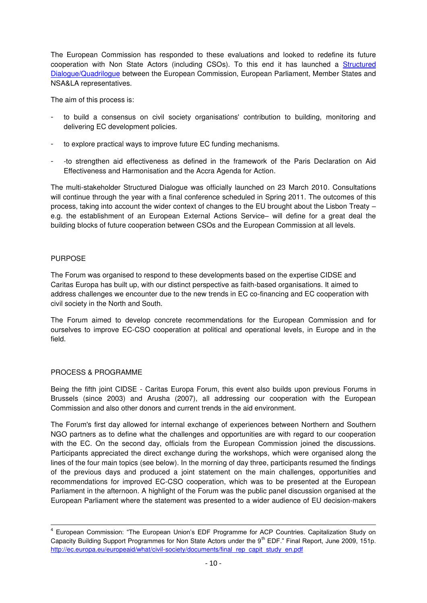The European Commission has responded to these evaluations and looked to redefine its future cooperation with Non State Actors (including CSOs). To this end it has launched a Structured [Dialogue/Quadrilogue](https://webgate.ec.europa.eu/fpfis/mwikis/aidco/index.php/Structured_dialogue) between the European Commission, European Parliament, Member States and NSA&LA representatives.

The aim of this process is:

- to build a consensus on civil society organisations' contribution to building, monitoring and delivering EC development policies.
- to explore practical ways to improve future EC funding mechanisms.
- -to strengthen aid effectiveness as defined in the framework of the Paris Declaration on Aid Effectiveness and Harmonisation and the Accra Agenda for Action.

The multi-stakeholder Structured Dialogue was officially launched on 23 March 2010. Consultations will continue through the year with a final conference scheduled in Spring 2011. The outcomes of this process, taking into account the wider context of changes to the EU brought about the Lisbon Treaty – e.g. the establishment of an European External Actions Service– will define for a great deal the building blocks of future cooperation between CSOs and the European Commission at all levels.

## PURPOSE

l

The Forum was organised to respond to these developments based on the expertise CIDSE and Caritas Europa has built up, with our distinct perspective as faith-based organisations. It aimed to address challenges we encounter due to the new trends in EC co-financing and EC cooperation with civil society in the North and South.

The Forum aimed to develop concrete recommendations for the European Commission and for ourselves to improve EC-CSO cooperation at political and operational levels, in Europe and in the field.

## PROCESS & PROGRAMME

Being the fifth joint CIDSE - Caritas Europa Forum, this event also builds upon previous Forums in Brussels (since 2003) and Arusha (2007), all addressing our cooperation with the European Commission and also other donors and current trends in the aid environment.

The Forum's first day allowed for internal exchange of experiences between Northern and Southern NGO partners as to define what the challenges and opportunities are with regard to our cooperation with the EC. On the second day, officials from the European Commission joined the discussions. Participants appreciated the direct exchange during the workshops, which were organised along the lines of the four main topics (see below). In the morning of day three, participants resumed the findings of the previous days and produced a joint statement on the main challenges, opportunities and recommendations for improved EC-CSO cooperation, which was to be presented at the European Parliament in the afternoon. A highlight of the Forum was the public panel discussion organised at the European Parliament where the statement was presented to a wider audience of EU decision-makers

<sup>&</sup>lt;sup>4</sup> European Commission: "The European Union's EDF Programme for ACP Countries. Capitalization Study on Capacity Building Support Programmes for Non State Actors under the 9<sup>th</sup> EDF." Final Report, June 2009, 151p. [http://ec.europa.eu/europeaid/what/civil-society/documents/final\\_rep\\_capit\\_study\\_en.pdf](http://ec.europa.eu/europeaid/what/civil-society/documents/final_rep_capit_study_en.pdf)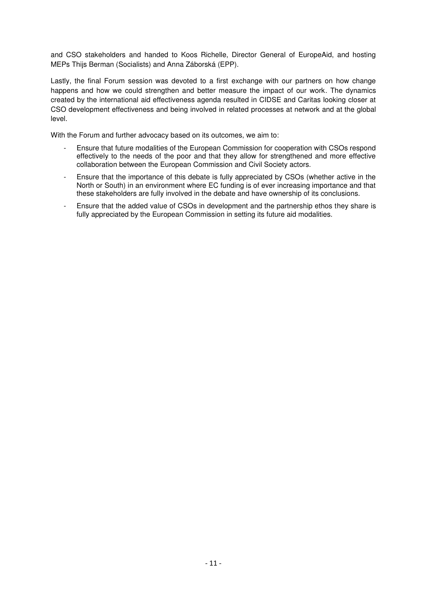and CSO stakeholders and handed to Koos Richelle, Director General of EuropeAid, and hosting MEPs Thijs Berman (Socialists) and Anna Záborská (EPP).

Lastly, the final Forum session was devoted to a first exchange with our partners on how change happens and how we could strengthen and better measure the impact of our work. The dynamics created by the international aid effectiveness agenda resulted in CIDSE and Caritas looking closer at CSO development effectiveness and being involved in related processes at network and at the global level.

With the Forum and further advocacy based on its outcomes, we aim to:

- Ensure that future modalities of the European Commission for cooperation with CSOs respond effectively to the needs of the poor and that they allow for strengthened and more effective collaboration between the European Commission and Civil Society actors.
- Ensure that the importance of this debate is fully appreciated by CSOs (whether active in the North or South) in an environment where EC funding is of ever increasing importance and that these stakeholders are fully involved in the debate and have ownership of its conclusions.
- Ensure that the added value of CSOs in development and the partnership ethos they share is fully appreciated by the European Commission in setting its future aid modalities.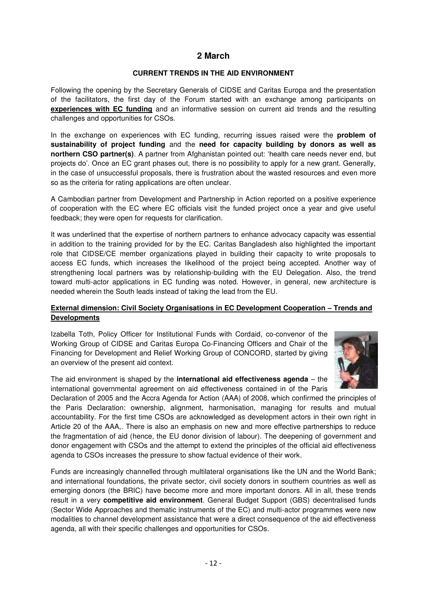# **2 March**

## **CURRENT TRENDS IN THE AID ENVIRONMENT**

<span id="page-11-0"></span>Following the opening by the Secretary Generals of CIDSE and Caritas Europa and the presentation of the facilitators, the first day of the Forum started with an exchange among participants on **experiences with EC funding** and an informative session on current aid trends and the resulting challenges and opportunities for CSOs.

In the exchange on experiences with EC funding, recurring issues raised were the **problem of sustainability of project funding** and the **need for capacity building by donors as well as northern CSO partner(s)**. A partner from Afghanistan pointed out: 'health care needs never end, but projects do'. Once an EC grant phases out, there is no possibility to apply for a new grant. Generally, in the case of unsuccessful proposals, there is frustration about the wasted resources and even more so as the criteria for rating applications are often unclear.

A Cambodian partner from Development and Partnership in Action reported on a positive experience of cooperation with the EC where EC officials visit the funded project once a year and give useful feedback; they were open for requests for clarification.

It was underlined that the expertise of northern partners to enhance advocacy capacity was essential in addition to the training provided for by the EC. Caritas Bangladesh also highlighted the important role that CIDSE/CE member organizations played in building their capacity to write proposals to access EC funds, which increases the likelihood of the project being accepted. Another way of strengthening local partners was by relationship-building with the EU Delegation. Also, the trend toward multi-actor applications in EC funding was noted. However, in general, new architecture is needed wherein the South leads instead of taking the lead from the EU.

## **External dimension: Civil Society Organisations in EC Development Cooperation – Trends and Developments**

Izabella Toth, Policy Officer for Institutional Funds with Cordaid, co-convenor of the Working Group of CIDSE and Caritas Europa Co-Financing Officers and Chair of the Financing for Development and Relief Working Group of CONCORD, started by giving an overview of the present aid context.



The aid environment is shaped by the **international aid effectiveness agenda** – the international governmental agreement on aid effectiveness contained in of the Paris

Declaration of 2005 and the Accra Agenda for Action (AAA) of 2008, which confirmed the principles of the Paris Declaration: ownership, alignment, harmonisation, managing for results and mutual accountability. For the first time CSOs are acknowledged as development actors in their own right in Article 20 of the AAA,. There is also an emphasis on new and more effective partnerships to reduce the fragmentation of aid (hence, the EU donor division of labour). The deepening of government and donor engagement with CSOs and the attempt to extend the principles of the official aid effectiveness agenda to CSOs increases the pressure to show factual evidence of their work.

Funds are increasingly channelled through multilateral organisations like the UN and the World Bank; and international foundations, the private sector, civil society donors in southern countries as well as emerging donors (the BRIC) have become more and more important donors. All in all, these trends result in a very **competitive aid environment**. General Budget Support (GBS) decentralised funds (Sector Wide Approaches and thematic instruments of the EC) and multi-actor programmes were new modalities to channel development assistance that were a direct consequence of the aid effectiveness agenda, all with their specific challenges and opportunities for CSOs.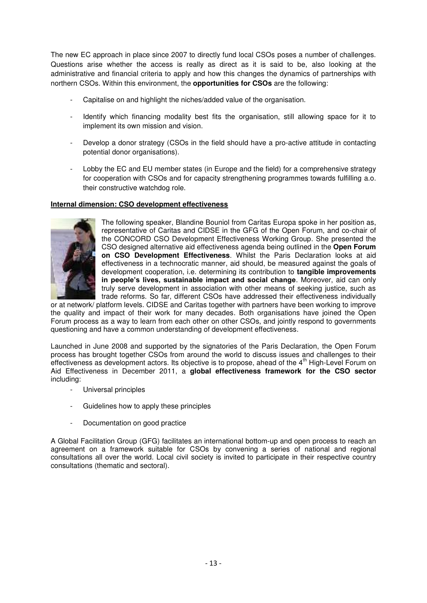The new EC approach in place since 2007 to directly fund local CSOs poses a number of challenges. Questions arise whether the access is really as direct as it is said to be, also looking at the administrative and financial criteria to apply and how this changes the dynamics of partnerships with northern CSOs. Within this environment, the **opportunities for CSOs** are the following:

- Capitalise on and highlight the niches/added value of the organisation.
- Identify which financing modality best fits the organisation, still allowing space for it to implement its own mission and vision.
- Develop a donor strategy (CSOs in the field should have a pro-active attitude in contacting potential donor organisations).
- Lobby the EC and EU member states (in Europe and the field) for a comprehensive strategy for cooperation with CSOs and for capacity strengthening programmes towards fulfilling a.o. their constructive watchdog role.

#### **Internal dimension: CSO development effectiveness**



The following speaker, Blandine Bouniol from Caritas Europa spoke in her position as, representative of Caritas and CIDSE in the GFG of the Open Forum, and co-chair of the CONCORD CSO Development Effectiveness Working Group. She presented the CSO designed alternative aid effectiveness agenda being outlined in the **Open Forum on CSO Development Effectiveness**. Whilst the Paris Declaration looks at aid effectiveness in a technocratic manner, aid should, be measured against the goals of development cooperation, i.e. determining its contribution to **tangible improvements in people's lives, sustainable impact and social change**. Moreover, aid can only truly serve development in association with other means of seeking justice, such as trade reforms. So far, different CSOs have addressed their effectiveness individually

or at network/ platform levels. CIDSE and Caritas together with partners have been working to improve the quality and impact of their work for many decades. Both organisations have joined the Open Forum process as a way to learn from each other on other CSOs, and jointly respond to governments questioning and have a common understanding of development effectiveness.

Launched in June 2008 and supported by the signatories of the Paris Declaration, the Open Forum process has brought together CSOs from around the world to discuss issues and challenges to their effectiveness as development actors. Its objective is to propose, ahead of the  $4<sup>th</sup>$  High-Level Forum on Aid Effectiveness in December 2011, a **global effectiveness framework for the CSO sector** including:

- Universal principles
- Guidelines how to apply these principles
- Documentation on good practice

A Global Facilitation Group (GFG) facilitates an international bottom-up and open process to reach an agreement on a framework suitable for CSOs by convening a series of national and regional consultations all over the world. Local civil society is invited to participate in their respective country consultations (thematic and sectoral).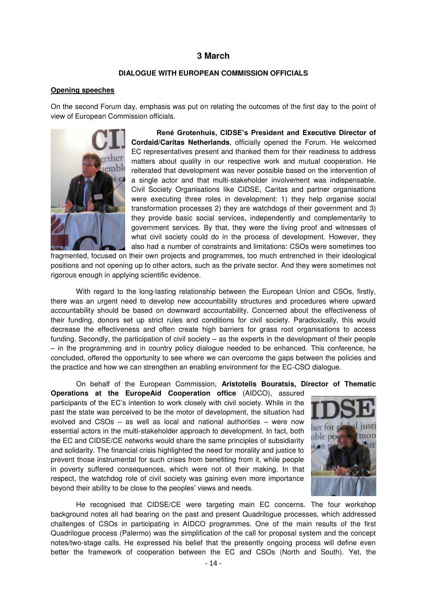## **3 March**

#### **DIALOGUE WITH EUROPEAN COMMISSION OFFICIALS**

#### <span id="page-13-0"></span>**Opening speeches**

On the second Forum day, emphasis was put on relating the outcomes of the first day to the point of view of European Commission officials.



**René Grotenhuis, CIDSE's President and Executive Director of Cordaid/Caritas Netherlands**, officially opened the Forum. He welcomed EC representatives present and thanked them for their readiness to address matters about quality in our respective work and mutual cooperation. He reiterated that development was never possible based on the intervention of a single actor and that multi-stakeholder involvement was indispensable. Civil Society Organisations like CIDSE, Caritas and partner organisations were executing three roles in development: 1) they help organise social transformation processes 2) they are watchdogs of their government and 3) they provide basic social services, independently and complementarily to government services. By that, they were the living proof and witnesses of what civil society could do in the process of development. However, they also had a number of constraints and limitations: CSOs were sometimes too

fragmented, focused on their own projects and programmes, too much entrenched in their ideological positions and not opening up to other actors, such as the private sector. And they were sometimes not rigorous enough in applying scientific evidence.

With regard to the long-lasting relationship between the European Union and CSOs, firstly, there was an urgent need to develop new accountability structures and procedures where upward accountability should be based on downward accountability. Concerned about the effectiveness of their funding, donors set up strict rules and conditions for civil society. Paradoxically, this would decrease the effectiveness and often create high barriers for grass root organisations to access funding. Secondly, the participation of civil society – as the experts in the development of their people – in the programming and in country policy dialogue needed to be enhanced. This conference, he concluded, offered the opportunity to see where we can overcome the gaps between the policies and the practice and how we can strengthen an enabling environment for the EC-CSO dialogue.

On behalf of the European Commission, **Aristotelis Bouratsis, Director of Thematic** 

**Operations at the EuropeAid Cooperation office** (AIDCO), assured participants of the EC's intention to work closely with civil society. While in the past the state was perceived to be the motor of development, the situation had evolved and CSOs – as well as local and national authorities – were now essential actors in the multi-stakeholder approach to development. In fact, both the EC and CIDSE/CE networks would share the same principles of subsidiarity and solidarity. The financial crisis highlighted the need for morality and justice to prevent those instrumental for such crises from benefiting from it, while people in poverty suffered consequences, which were not of their making. In that respect, the watchdog role of civil society was gaining even more importance beyond their ability to be close to the peoples' views and needs.



He recognised that CIDSE/CE were targeting main EC concerns. The four workshop background notes all had bearing on the past and present Quadrilogue processes, which addressed challenges of CSOs in participating in AIDCO programmes. One of the main results of the first Quadrilogue process (Palermo) was the simplification of the call for proposal system and the concept notes/two-stage calls. He expressed his belief that the presently ongoing process will define even better the framework of cooperation between the EC and CSOs (North and South). Yet, the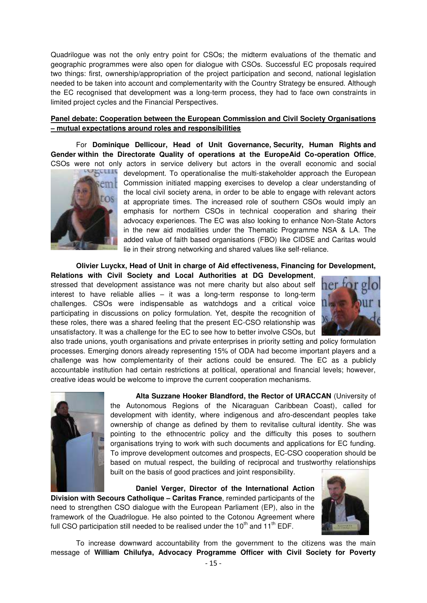Quadrilogue was not the only entry point for CSOs; the midterm evaluations of the thematic and geographic programmes were also open for dialogue with CSOs. Successful EC proposals required two things: first, ownership/appropriation of the project participation and second, national legislation needed to be taken into account and complementarity with the Country Strategy be ensured. Although the EC recognised that development was a long-term process, they had to face own constraints in limited project cycles and the Financial Perspectives.

### **Panel debate: Cooperation between the European Commission and Civil Society Organisations – mutual expectations around roles and responsibilities**

For **Dominique Dellicour, Head of Unit Governance, Security, Human Rights and Gender within the Directorate Quality of operations at the EuropeAid Co-operation Office**, CSOs were not only actors in service delivery but actors in the overall economic and social



development. To operationalise the multi-stakeholder approach the European Commission initiated mapping exercises to develop a clear understanding of the local civil society arena, in order to be able to engage with relevant actors at appropriate times. The increased role of southern CSOs would imply an emphasis for northern CSOs in technical cooperation and sharing their advocacy experiences. The EC was also looking to enhance Non-State Actors in the new aid modalities under the Thematic Programme NSA & LA. The added value of faith based organisations (FBO) like CIDSE and Caritas would lie in their strong networking and shared values like self-reliance.

**Olivier Luyckx, Head of Unit in charge of Aid effectiveness, Financing for Development,** 

**Relations with Civil Society and Local Authorities at DG Development**, stressed that development assistance was not mere charity but also about self interest to have reliable allies – it was a long-term response to long-term challenges. CSOs were indispensable as watchdogs and a critical voice participating in discussions on policy formulation. Yet, despite the recognition of these roles, there was a shared feeling that the present EC-CSO relationship was unsatisfactory. It was a challenge for the EC to see how to better involve CSOs, but



also trade unions, youth organisations and private enterprises in priority setting and policy formulation processes. Emerging donors already representing 15% of ODA had become important players and a challenge was how complementarity of their actions could be ensured. The EC as a publicly accountable institution had certain restrictions at political, operational and financial levels; however, creative ideas would be welcome to improve the current cooperation mechanisms.



**Alta Suzzane Hooker Blandford, the Rector of URACCAN** (University of the Autonomous Regions of the Nicaraguan Caribbean Coast), called for development with identity, where indigenous and afro-descendant peoples take ownership of change as defined by them to revitalise cultural identity. She was pointing to the ethnocentric policy and the difficulty this poses to southern organisations trying to work with such documents and applications for EC funding. To improve development outcomes and prospects, EC-CSO cooperation should be based on mutual respect, the building of reciprocal and trustworthy relationships built on the basis of good practices and joint responsibility.

**Daniel Verger, Director of the International Action Division with Secours Catholique – Caritas France**, reminded participants of the need to strengthen CSO dialogue with the European Parliament (EP), also in the framework of the Quadrilogue. He also pointed to the Cotonou Agreement where full CSO participation still needed to be realised under the  $10<sup>th</sup>$  and  $11<sup>th</sup>$  EDF.



To increase downward accountability from the government to the citizens was the main message of **William Chilufya, Advocacy Programme Officer with Civil Society for Poverty**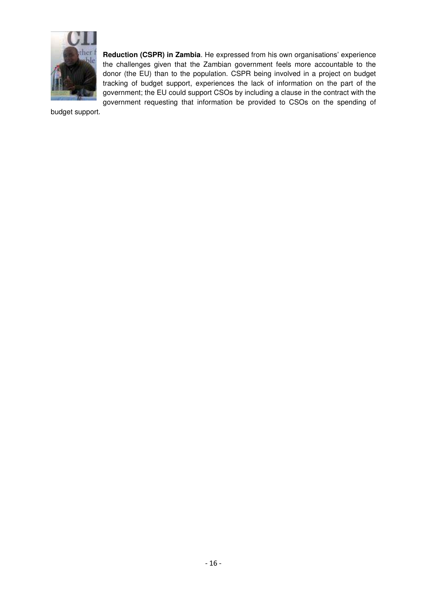

**Reduction (CSPR) in Zambia**. He expressed from his own organisations' experience the challenges given that the Zambian government feels more accountable to the donor (the EU) than to the population. CSPR being involved in a project on budget tracking of budget support, experiences the lack of information on the part of the government; the EU could support CSOs by including a clause in the contract with the government requesting that information be provided to CSOs on the spending of

budget support.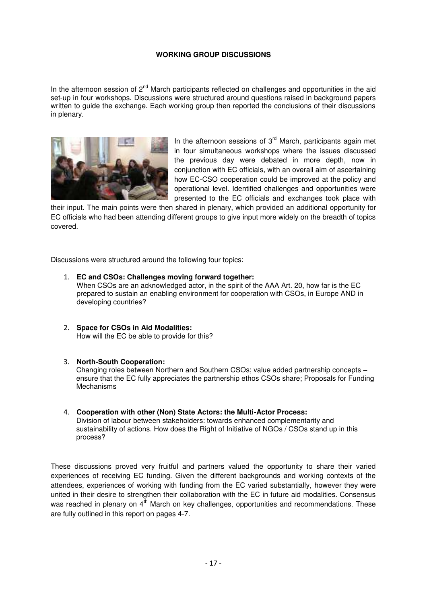### **WORKING GROUP DISCUSSIONS**

In the afternoon session of  $2<sup>nd</sup>$  March participants reflected on challenges and opportunities in the aid set-up in four workshops. Discussions were structured around questions raised in background papers written to guide the exchange. Each working group then reported the conclusions of their discussions in plenary.



In the afternoon sessions of  $3<sup>rd</sup>$  March, participants again met in four simultaneous workshops where the issues discussed the previous day were debated in more depth, now in conjunction with EC officials, with an overall aim of ascertaining how EC-CSO cooperation could be improved at the policy and operational level. Identified challenges and opportunities were presented to the EC officials and exchanges took place with

their input. The main points were then shared in plenary, which provided an additional opportunity for EC officials who had been attending different groups to give input more widely on the breadth of topics covered.

Discussions were structured around the following four topics:

- 1. **EC and CSOs: Challenges moving forward together:** When CSOs are an acknowledged actor, in the spirit of the AAA Art. 20, how far is the EC prepared to sustain an enabling environment for cooperation with CSOs, in Europe AND in developing countries?
- 2. **Space for CSOs in Aid Modalities:** How will the EC be able to provide for this?

#### 3. **North-South Cooperation:**

Changing roles between Northern and Southern CSOs; value added partnership concepts – ensure that the EC fully appreciates the partnership ethos CSOs share; Proposals for Funding Mechanisms

4. **Cooperation with other (Non) State Actors: the Multi-Actor Process:**  Division of labour between stakeholders: towards enhanced complementarity and sustainability of actions. How does the Right of Initiative of NGOs / CSOs stand up in this process?

These discussions proved very fruitful and partners valued the opportunity to share their varied experiences of receiving EC funding. Given the different backgrounds and working contexts of the attendees, experiences of working with funding from the EC varied substantially, however they were united in their desire to strengthen their collaboration with the EC in future aid modalities. Consensus was reached in plenary on  $4<sup>th</sup>$  March on key challenges, opportunities and recommendations. These are fully outlined in this report on pages 4-7.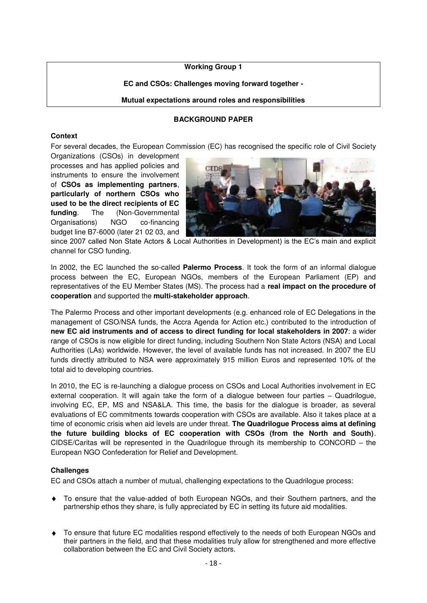## **Working Group 1**

## **EC and CSOs: Challenges moving forward together -**

#### **Mutual expectations around roles and responsibilities**

### **BACKGROUND PAPER**

#### <span id="page-17-0"></span>**Context**

For several decades, the European Commission (EC) has recognised the specific role of Civil Society

Organizations (CSOs) in development processes and has applied policies and instruments to ensure the involvement of **CSOs as implementing partners**, **particularly of northern CSOs who used to be the direct recipients of EC funding**. The (Non-Governmental Organisations) NGO co-financing budget line B7-6000 (later 21 02 03, and



since 2007 called Non State Actors & Local Authorities in Development) is the EC's main and explicit channel for CSO funding.

In 2002, the EC launched the so-called **Palermo Process**. It took the form of an informal dialogue process between the EC, European NGOs, members of the European Parliament (EP) and representatives of the EU Member States (MS). The process had a **real impact on the procedure of cooperation** and supported the **multi-stakeholder approach**.

The Palermo Process and other important developments (e.g. enhanced role of EC Delegations in the management of CSO/NSA funds, the Accra Agenda for Action etc.) contributed to the introduction of **new EC aid instruments and of access to direct funding for local stakeholders in 2007**: a wider range of CSOs is now eligible for direct funding, including Southern Non State Actors (NSA) and Local Authorities (LAs) worldwide. However, the level of available funds has not increased. In 2007 the EU funds directly attributed to NSA were approximately 915 million Euros and represented 10% of the total aid to developing countries.

In 2010, the EC is re-launching a dialogue process on CSOs and Local Authorities involvement in EC external cooperation. It will again take the form of a dialogue between four parties – Quadrilogue, involving EC, EP, MS and NSA&LA. This time, the basis for the dialogue is broader, as several evaluations of EC commitments towards cooperation with CSOs are available. Also it takes place at a time of economic crisis when aid levels are under threat. **The Quadrilogue Process aims at defining the future building blocks of EC cooperation with CSOs (from the North and South)**. CIDSE/Caritas will be represented in the Quadrilogue through its membership to CONCORD – the European NGO Confederation for Relief and Development.

#### **Challenges**

EC and CSOs attach a number of mutual, challenging expectations to the Quadrilogue process:

- To ensure that the value-added of both European NGOs, and their Southern partners, and the partnership ethos they share, is fully appreciated by EC in setting its future aid modalities.
- To ensure that future EC modalities respond effectively to the needs of both European NGOs and their partners in the field, and that these modalities truly allow for strengthened and more effective collaboration between the EC and Civil Society actors.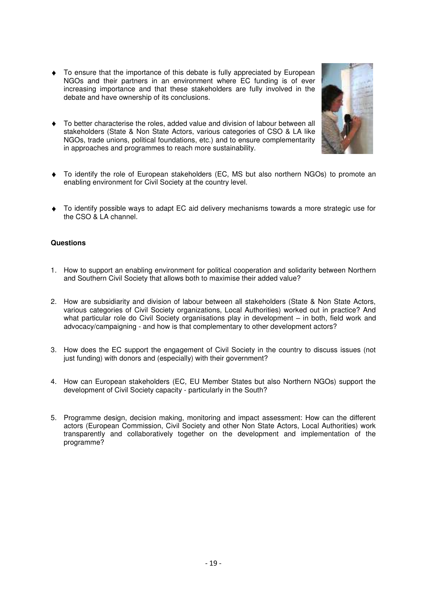- To ensure that the importance of this debate is fully appreciated by European NGOs and their partners in an environment where EC funding is of ever increasing importance and that these stakeholders are fully involved in the debate and have ownership of its conclusions.
- To better characterise the roles, added value and division of labour between all stakeholders (State & Non State Actors, various categories of CSO & LA like NGOs, trade unions, political foundations, etc.) and to ensure complementarity in approaches and programmes to reach more sustainability.
- To identify the role of European stakeholders (EC, MS but also northern NGOs) to promote an enabling environment for Civil Society at the country level.
- To identify possible ways to adapt EC aid delivery mechanisms towards a more strategic use for the CSO & LA channel.

#### **Questions**

- 1. How to support an enabling environment for political cooperation and solidarity between Northern and Southern Civil Society that allows both to maximise their added value?
- 2. How are subsidiarity and division of labour between all stakeholders (State & Non State Actors, various categories of Civil Society organizations, Local Authorities) worked out in practice? And what particular role do Civil Society organisations play in development – in both, field work and advocacy/campaigning - and how is that complementary to other development actors?
- 3. How does the EC support the engagement of Civil Society in the country to discuss issues (not just funding) with donors and (especially) with their government?
- 4. How can European stakeholders (EC, EU Member States but also Northern NGOs) support the development of Civil Society capacity - particularly in the South?
- 5. Programme design, decision making, monitoring and impact assessment: How can the different actors (European Commission, Civil Society and other Non State Actors, Local Authorities) work transparently and collaboratively together on the development and implementation of the programme?

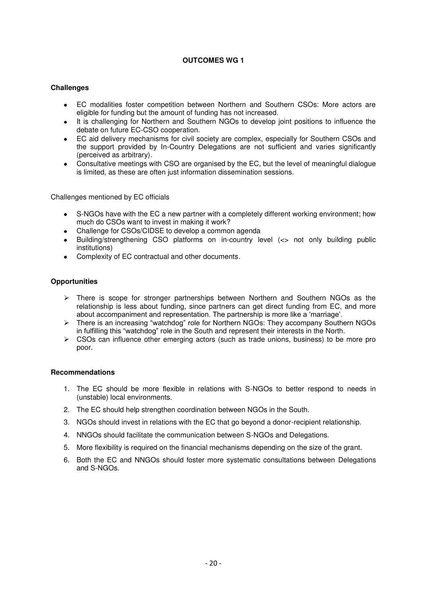### **OUTCOMES WG 1**

#### **Challenges**

- EC modalities foster competition between Northern and Southern CSOs: More actors are eligible for funding but the amount of funding has not increased.
- It is challenging for Northern and Southern NGOs to develop joint positions to influence the debate on future EC-CSO cooperation.
- EC aid delivery mechanisms for civil society are complex, especially for Southern CSOs and the support provided by In-Country Delegations are not sufficient and varies significantly (perceived as arbitrary).
- Consultative meetings with CSO are organised by the EC, but the level of meaningful dialogue is limited, as these are often just information dissemination sessions.

Challenges mentioned by EC officials

- S-NGOs have with the EC a new partner with a completely different working environment; how much do CSOs want to invest in making it work?
- Challenge for CSOs/CIDSE to develop a common agenda
- Building/strengthening CSO platforms on in-country level (<> not only building public institutions)
- Complexity of EC contractual and other documents.

#### **Opportunities**

- $\triangleright$  There is scope for stronger partnerships between Northern and Southern NGOs as the relationship is less about funding, since partners can get direct funding from EC, and more about accompaniment and representation. The partnership is more like a 'marriage'.
- > There is an increasing "watchdog" role for Northern NGOs: They accompany Southern NGOs in fulfilling this "watchdog" role in the South and represent their interests in the North.
- $\triangleright$  CSOs can influence other emerging actors (such as trade unions, business) to be more pro poor.

#### **Recommendations**

- 1. The EC should be more flexible in relations with S-NGOs to better respond to needs in (unstable) local environments.
- 2. The EC should help strengthen coordination between NGOs in the South.
- 3. NGOs should invest in relations with the EC that go beyond a donor-recipient relationship.
- 4. NNGOs should facilitate the communication between S-NGOs and Delegations.
- 5. More flexibility is required on the financial mechanisms depending on the size of the grant.
- 6. Both the EC and NNGOs should foster more systematic consultations between Delegations and S-NGOs.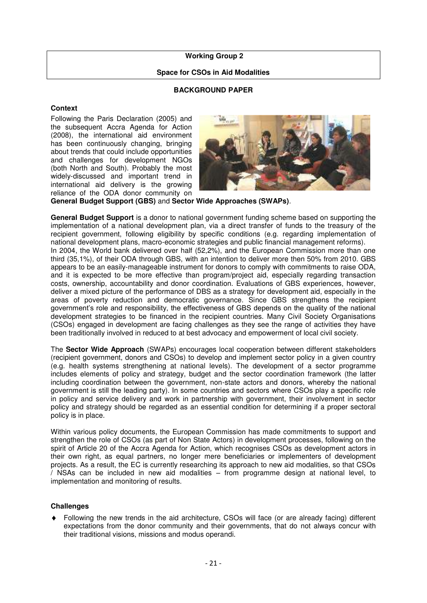#### <span id="page-20-0"></span> **Working Group 2**

#### **Space for CSOs in Aid Modalities**

### **BACKGROUND PAPER**

#### **Context**

Following the Paris Declaration (2005) and the subsequent Accra Agenda for Action (2008), the international aid environment has been continuously changing, bringing about trends that could include opportunities and challenges for development NGOs (both North and South). Probably the most widely-discussed and important trend in international aid delivery is the growing reliance of the ODA donor community on



**General Budget Support (GBS)** and **Sector Wide Approaches (SWAPs)**.

**General Budget Support** is a donor to national government funding scheme based on supporting the implementation of a national development plan, via a direct transfer of funds to the treasury of the recipient government, following eligibility by specific conditions (e.g. regarding implementation of national development plans, macro-economic strategies and public financial management reforms). In 2004, the World bank delivered over half (52,2%), and the European Commission more than one third (35,1%), of their ODA through GBS, with an intention to deliver more then 50% from 2010. GBS appears to be an easily-manageable instrument for donors to comply with commitments to raise ODA, and it is expected to be more effective than program/project aid, especially regarding transaction costs, ownership, accountability and donor coordination. Evaluations of GBS experiences, however, deliver a mixed picture of the performance of DBS as a strategy for development aid, especially in the areas of poverty reduction and democratic governance. Since GBS strengthens the recipient government's role and responsibility, the effectiveness of GBS depends on the quality of the national development strategies to be financed in the recipient countries. Many Civil Society Organisations (CSOs) engaged in development are facing challenges as they see the range of activities they have been traditionally involved in reduced to at best advocacy and empowerment of local civil society.

The **Sector Wide Approach** (SWAPs) encourages local cooperation between different stakeholders (recipient government, donors and CSOs) to develop and implement sector policy in a given country (e.g. health systems strengthening at national levels). The development of a sector programme includes elements of policy and strategy, budget and the sector coordination framework (the latter including coordination between the government, non-state actors and donors, whereby the national government is still the leading party). In some countries and sectors where CSOs play a specific role in policy and service delivery and work in partnership with government, their involvement in sector policy and strategy should be regarded as an essential condition for determining if a proper sectoral policy is in place.

Within various policy documents, the European Commission has made commitments to support and strengthen the role of CSOs (as part of Non State Actors) in development processes, following on the spirit of Article 20 of the Accra Agenda for Action, which recognises CSOs as development actors in their own right, as equal partners, no longer mere beneficiaries or implementers of development projects. As a result, the EC is currently researching its approach to new aid modalities, so that CSOs / NSAs can be included in new aid modalities – from programme design at national level, to implementation and monitoring of results.

#### **Challenges**

Following the new trends in the aid architecture, CSOs will face (or are already facing) different expectations from the donor community and their governments, that do not always concur with their traditional visions, missions and modus operandi.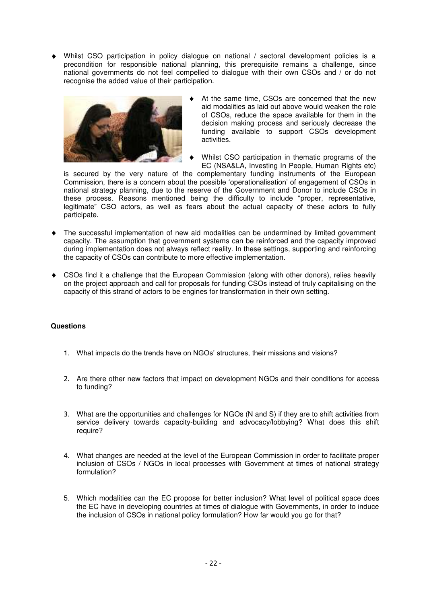Whilst CSO participation in policy dialogue on national / sectoral development policies is a precondition for responsible national planning, this prerequisite remains a challenge, since national governments do not feel compelled to dialogue with their own CSOs and / or do not recognise the added value of their participation.



- At the same time, CSOs are concerned that the new aid modalities as laid out above would weaken the role of CSOs, reduce the space available for them in the decision making process and seriously decrease the funding available to support CSOs development activities.
- Whilst CSO participation in thematic programs of the EC (NSA&LA, Investing In People, Human Rights etc)

is secured by the very nature of the complementary funding instruments of the European Commission, there is a concern about the possible 'operationalisation' of engagement of CSOs in national strategy planning, due to the reserve of the Government and Donor to include CSOs in these process. Reasons mentioned being the difficulty to include "proper, representative, legitimate" CSO actors, as well as fears about the actual capacity of these actors to fully participate.

- The successful implementation of new aid modalities can be undermined by limited government capacity. The assumption that government systems can be reinforced and the capacity improved during implementation does not always reflect reality. In these settings, supporting and reinforcing the capacity of CSOs can contribute to more effective implementation.
- CSOs find it a challenge that the European Commission (along with other donors), relies heavily on the project approach and call for proposals for funding CSOs instead of truly capitalising on the capacity of this strand of actors to be engines for transformation in their own setting.

#### **Questions**

- 1. What impacts do the trends have on NGOs' structures, their missions and visions?
- 2. Are there other new factors that impact on development NGOs and their conditions for access to funding?
- 3. What are the opportunities and challenges for NGOs (N and S) if they are to shift activities from service delivery towards capacity-building and advocacy/lobbying? What does this shift require?
- 4. What changes are needed at the level of the European Commission in order to facilitate proper inclusion of CSOs / NGOs in local processes with Government at times of national strategy formulation?
- 5. Which modalities can the EC propose for better inclusion? What level of political space does the EC have in developing countries at times of dialogue with Governments, in order to induce the inclusion of CSOs in national policy formulation? How far would you go for that?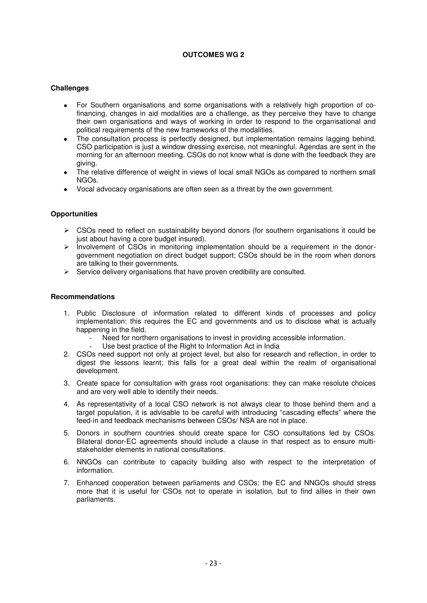## **OUTCOMES WG 2**

### **Challenges**

- For Southern organisations and some organisations with a relatively high proportion of cofinancing, changes in aid modalities are a challenge, as they perceive they have to change their own organisations and ways of working in order to respond to the organisational and political requirements of the new frameworks of the modalities.
- The consultation process is perfectly designed, but implementation remains lagging behind. CSO participation is just a window dressing exercise, not meaningful. Agendas are sent in the morning for an afternoon meeting. CSOs do not know what is done with the feedback they are giving.
- The relative difference of weight in views of local small NGOs as compared to northern small NGOs.
- Vocal advocacy organisations are often seen as a threat by the own government.

#### **Opportunities**

- CSOs need to reflect on sustainability beyond donors (for southern organisations it could be just about having a core budget insured).
- $\triangleright$  Involvement of CSOs in monitoring implementation should be a requirement in the donorgovernment negotiation on direct budget support; CSOs should be in the room when donors are talking to their governments.
- $\triangleright$  Service delivery organisations that have proven credibility are consulted.

#### **Recommendations**

- 1. Public Disclosure of information related to different kinds of processes and policy implementation: this requires the EC and governments and us to disclose what is actually happening in the field.
	- Need for northern organisations to invest in providing accessible information.
	- Use best practice of the Right to Information Act in India
- 2. CSOs need support not only at project level, but also for research and reflection, in order to digest the lessons learnt; this falls for a great deal within the realm of organisational development.
- 3. Create space for consultation with grass root organisations: they can make resolute choices and are very well able to identify their needs.
- 4. As representativity of a local CSO network is not always clear to those behind them and a target population, it is advisable to be careful with introducing "cascading effects" where the feed-in and feedback mechanisms between CSOs/ NSA are not in place.
- 5. Donors in southern countries should create space for CSO consultations led by CSOs. Bilateral donor-EC agreements should include a clause in that respect as to ensure multistakeholder elements in national consultations.
- 6. NNGOs can contribute to capacity building also with respect to the interpretation of information.
- 7. Enhanced cooperation between parliaments and CSOs: the EC and NNGOs should stress more that it is useful for CSOs not to operate in isolation, but to find allies in their own parliaments.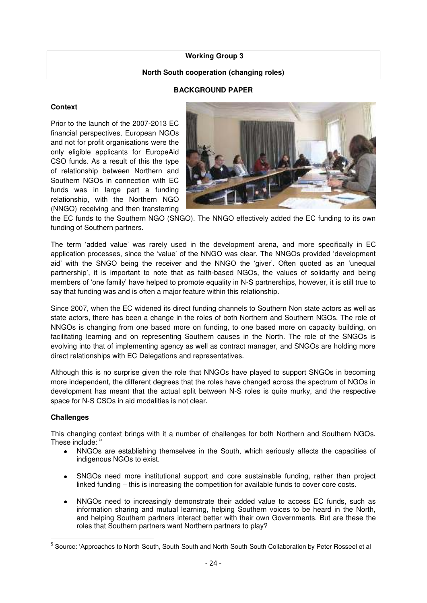#### <span id="page-23-0"></span> **Working Group 3**

### **North South cooperation (changing roles)**

### **BACKGROUND PAPER**

### **Context**

Prior to the launch of the 2007-2013 EC financial perspectives, European NGOs and not for profit organisations were the only eligible applicants for EuropeAid CSO funds. As a result of this the type of relationship between Northern and Southern NGOs in connection with EC funds was in large part a funding relationship, with the Northern NGO (NNGO) receiving and then transferring



the EC funds to the Southern NGO (SNGO). The NNGO effectively added the EC funding to its own funding of Southern partners.

The term 'added value' was rarely used in the development arena, and more specifically in EC application processes, since the 'value' of the NNGO was clear. The NNGOs provided 'development aid' with the SNGO being the receiver and the NNGO the 'giver'. Often guoted as an 'unequal partnership', it is important to note that as faith-based NGOs, the values of solidarity and being members of 'one family' have helped to promote equality in N-S partnerships, however, it is still true to say that funding was and is often a major feature within this relationship.

Since 2007, when the EC widened its direct funding channels to Southern Non state actors as well as state actors, there has been a change in the roles of both Northern and Southern NGOs. The role of NNGOs is changing from one based more on funding, to one based more on capacity building, on facilitating learning and on representing Southern causes in the North. The role of the SNGOs is evolving into that of implementing agency as well as contract manager, and SNGOs are holding more direct relationships with EC Delegations and representatives.

Although this is no surprise given the role that NNGOs have played to support SNGOs in becoming more independent, the different degrees that the roles have changed across the spectrum of NGOs in development has meant that the actual split between N-S roles is quite murky, and the respective space for N-S CSOs in aid modalities is not clear.

#### **Challenges**

 $\overline{a}$ 

This changing context brings with it a number of challenges for both Northern and Southern NGOs. These include:

- NNGOs are establishing themselves in the South, which seriously affects the capacities of indigenous NGOs to exist.
- SNGOs need more institutional support and core sustainable funding, rather than project linked funding – this is increasing the competition for available funds to cover core costs.
- NNGOs need to increasingly demonstrate their added value to access EC funds, such as information sharing and mutual learning, helping Southern voices to be heard in the North, and helping Southern partners interact better with their own Governments. But are these the roles that Southern partners want Northern partners to play?

<sup>&</sup>lt;sup>5</sup> Source: 'Approaches to North-South, South-South and North-South-South Collaboration by Peter Rosseel et al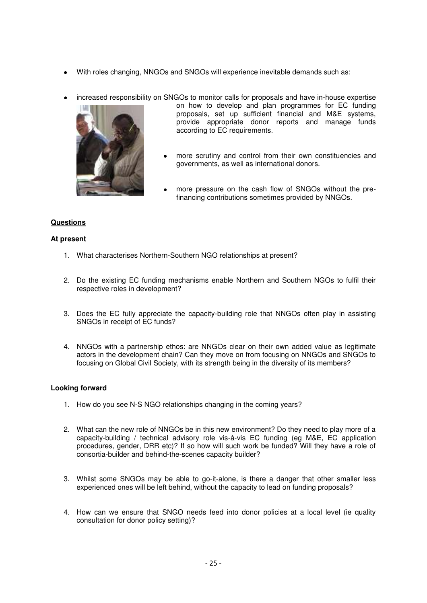- With roles changing, NNGOs and SNGOs will experience inevitable demands such as:
- increased responsibility on SNGOs to monitor calls for proposals and have in-house expertise



- on how to develop and plan programmes for EC funding proposals, set up sufficient financial and M&E systems, provide appropriate donor reports and manage funds according to EC requirements.
- more scrutiny and control from their own constituencies and governments, as well as international donors.
- more pressure on the cash flow of SNGOs without the prefinancing contributions sometimes provided by NNGOs.

## **Questions**

## **At present**

- 1. What characterises Northern-Southern NGO relationships at present?
- 2. Do the existing EC funding mechanisms enable Northern and Southern NGOs to fulfil their respective roles in development?
- 3. Does the EC fully appreciate the capacity-building role that NNGOs often play in assisting SNGOs in receipt of EC funds?
- 4. NNGOs with a partnership ethos: are NNGOs clear on their own added value as legitimate actors in the development chain? Can they move on from focusing on NNGOs and SNGOs to focusing on Global Civil Society, with its strength being in the diversity of its members?

#### **Looking forward**

- 1. How do you see N-S NGO relationships changing in the coming years?
- 2. What can the new role of NNGOs be in this new environment? Do they need to play more of a capacity-building / technical advisory role vis-à-vis EC funding (eg M&E, EC application procedures, gender, DRR etc)? If so how will such work be funded? Will they have a role of consortia-builder and behind-the-scenes capacity builder?
- 3. Whilst some SNGOs may be able to go-it-alone, is there a danger that other smaller less experienced ones will be left behind, without the capacity to lead on funding proposals?
- 4. How can we ensure that SNGO needs feed into donor policies at a local level (ie quality consultation for donor policy setting)?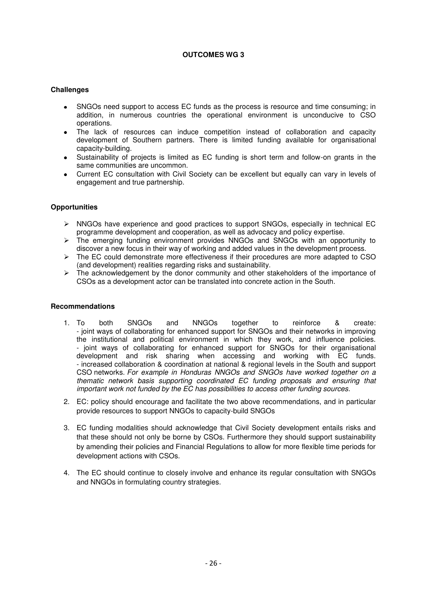### **OUTCOMES WG 3**

## **Challenges**

- SNGOs need support to access EC funds as the process is resource and time consuming; in addition, in numerous countries the operational environment is unconducive to CSO operations.
- The lack of resources can induce competition instead of collaboration and capacity development of Southern partners. There is limited funding available for organisational capacity-building.
- Sustainability of projects is limited as EC funding is short term and follow-on grants in the same communities are uncommon.
- Current EC consultation with Civil Society can be excellent but equally can vary in levels of engagement and true partnership.

## **Opportunities**

- $\triangleright$  NNGOs have experience and good practices to support SNGOs, especially in technical EC programme development and cooperation, as well as advocacy and policy expertise.
- $\triangleright$  The emerging funding environment provides NNGOs and SNGOs with an opportunity to discover a new focus in their way of working and added values in the development process.
- $\triangleright$  The EC could demonstrate more effectiveness if their procedures are more adapted to CSO (and development) realities regarding risks and sustainability.
- $\triangleright$  The acknowledgement by the donor community and other stakeholders of the importance of CSOs as a development actor can be translated into concrete action in the South.

#### **Recommendations**

- 1. To both SNGOs and NNGOs together to reinforce & create: - joint ways of collaborating for enhanced support for SNGOs and their networks in improving the institutional and political environment in which they work, and influence policies. - joint ways of collaborating for enhanced support for SNGOs for their organisational development and risk sharing when accessing and working with EC funds. - increased collaboration & coordination at national & regional levels in the South and support CSO networks. *For example in Honduras NNGOs and SNGOs have worked together on a thematic network basis supporting coordinated EC funding proposals and ensuring that important work not funded by the EC has possibilities to access other funding sources.*
- 2. EC: policy should encourage and facilitate the two above recommendations, and in particular provide resources to support NNGOs to capacity-build SNGOs
- 3. EC funding modalities should acknowledge that Civil Society development entails risks and that these should not only be borne by CSOs. Furthermore they should support sustainability by amending their policies and Financial Regulations to allow for more flexible time periods for development actions with CSOs.
- 4. The EC should continue to closely involve and enhance its regular consultation with SNGOs and NNGOs in formulating country strategies.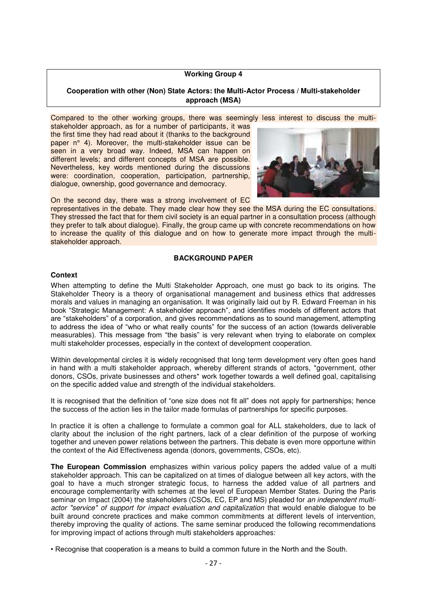#### **Working Group 4**

#### <span id="page-26-0"></span>**Cooperation with other (Non) State Actors: the Multi-Actor Process / Multi-stakeholder approach (MSA)**

Compared to the other working groups, there was seemingly less interest to discuss the multi-

stakeholder approach, as for a number of participants, it was the first time they had read about it (thanks to the background paper n° 4). Moreover, the multi-stakeholder issue can be seen in a very broad way. Indeed, MSA can happen on different levels; and different concepts of MSA are possible. Nevertheless, key words mentioned during the discussions were: coordination, cooperation, participation, partnership, dialogue, ownership, good governance and democracy.



On the second day, there was a strong involvement of EC

representatives in the debate. They made clear how they see the MSA during the EC consultations. They stressed the fact that for them civil society is an equal partner in a consultation process (although they prefer to talk about dialogue). Finally, the group came up with concrete recommendations on how to increase the quality of this dialogue and on how to generate more impact through the multistakeholder approach.

#### **BACKGROUND PAPER**

#### **Context**

When attempting to define the Multi Stakeholder Approach, one must go back to its origins. The Stakeholder Theory is a theory of organisational management and business ethics that addresses morals and values in managing an organisation. It was originally laid out by R. Edward Freeman in his book "Strategic Management: A stakeholder approach", and identifies models of different actors that are "stakeholders" of a corporation, and gives recommendations as to sound management, attempting to address the idea of "who or what really counts" for the success of an action (towards deliverable measurables). This message from "the basis" is very relevant when trying to elaborate on complex multi stakeholder processes, especially in the context of development cooperation.

Within developmental circles it is widely recognised that long term development very often goes hand in hand with a multi stakeholder approach, whereby different strands of actors, \*government, other donors, CSOs, private businesses and others\* work together towards a well defined goal, capitalising on the specific added value and strength of the individual stakeholders.

It is recognised that the definition of "one size does not fit all" does not apply for partnerships; hence the success of the action lies in the tailor made formulas of partnerships for specific purposes.

In practice it is often a challenge to formulate a common goal for ALL stakeholders, due to lack of clarity about the inclusion of the right partners, lack of a clear definition of the purpose of working together and uneven power relations between the partners. This debate is even more opportune within the context of the Aid Effectiveness agenda (donors, governments, CSOs, etc).

**The European Commission** emphasizes within various policy papers the added value of a multi stakeholder approach. This can be capitalized on at times of dialogue between all key actors, with the goal to have a much stronger strategic focus, to harness the added value of all partners and encourage complementarity with schemes at the level of European Member States. During the Paris seminar on Impact (2004) the stakeholders (CSOs, EC, EP and MS) pleaded for *an independent multiactor "service" of support for impact evaluation and capitalization* that would enable dialogue to be built around concrete practices and make common commitments at different levels of intervention, thereby improving the quality of actions. The same seminar produced the following recommendations for improving impact of actions through multi stakeholders approaches:

• Recognise that cooperation is a means to build a common future in the North and the South.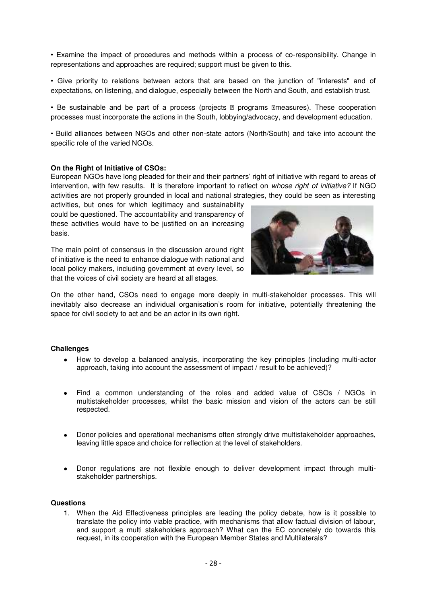• Examine the impact of procedures and methods within a process of co-responsibility. Change in representations and approaches are required; support must be given to this.

• Give priority to relations between actors that are based on the junction of "interests" and of expectations, on listening, and dialogue, especially between the North and South, and establish trust.

• Be sustainable and be part of a process (projects **n** programs neasures). These cooperation processes must incorporate the actions in the South, lobbying/advocacy, and development education.

• Build alliances between NGOs and other non-state actors (North/South) and take into account the specific role of the varied NGOs.

#### **On the Right of Initiative of CSOs:**

European NGOs have long pleaded for their and their partners' right of initiative with regard to areas of intervention, with few results. It is therefore important to reflect on *whose right of initiative?* If NGO activities are not properly grounded in local and national strategies, they could be seen as interesting

activities, but ones for which legitimacy and sustainability could be questioned. The accountability and transparency of these activities would have to be justified on an increasing basis.

The main point of consensus in the discussion around right of initiative is the need to enhance dialogue with national and local policy makers, including government at every level, so that the voices of civil society are heard at all stages.



On the other hand, CSOs need to engage more deeply in multi-stakeholder processes. This will inevitably also decrease an individual organisation's room for initiative, potentially threatening the space for civil society to act and be an actor in its own right.

#### **Challenges**

- How to develop a balanced analysis, incorporating the key principles (including multi-actor approach, taking into account the assessment of impact / result to be achieved)?
- Find a common understanding of the roles and added value of CSOs / NGOs in multistakeholder processes, whilst the basic mission and vision of the actors can be still respected.
- Donor policies and operational mechanisms often strongly drive multistakeholder approaches, leaving little space and choice for reflection at the level of stakeholders.
- Donor regulations are not flexible enough to deliver development impact through multistakeholder partnerships.

#### **Questions**

1. When the Aid Effectiveness principles are leading the policy debate, how is it possible to translate the policy into viable practice, with mechanisms that allow factual division of labour, and support a multi stakeholders approach? What can the EC concretely do towards this request, in its cooperation with the European Member States and Multilaterals?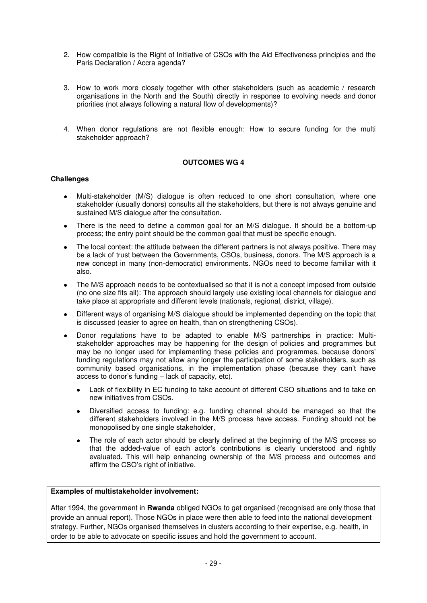- 2. How compatible is the Right of Initiative of CSOs with the Aid Effectiveness principles and the Paris Declaration / Accra agenda?
- 3. How to work more closely together with other stakeholders (such as academic / research organisations in the North and the South) directly in response to evolving needs and donor priorities (not always following a natural flow of developments)?
- 4. When donor regulations are not flexible enough: How to secure funding for the multi stakeholder approach?

## **OUTCOMES WG 4**

#### **Challenges**

- Multi-stakeholder (M/S) dialogue is often reduced to one short consultation, where one stakeholder (usually donors) consults all the stakeholders, but there is not always genuine and sustained M/S dialogue after the consultation.
- There is the need to define a common goal for an M/S dialogue. It should be a bottom-up process; the entry point should be the common goal that must be specific enough.
- The local context: the attitude between the different partners is not always positive. There may be a lack of trust between the Governments, CSOs, business, donors. The M/S approach is a new concept in many (non-democratic) environments. NGOs need to become familiar with it also.
- The M/S approach needs to be contextualised so that it is not a concept imposed from outside (no one size fits all): The approach should largely use existing local channels for dialogue and take place at appropriate and different levels (nationals, regional, district, village).
- Different ways of organising M/S dialogue should be implemented depending on the topic that is discussed (easier to agree on health, than on strengthening CSOs).
- Donor regulations have to be adapted to enable M/S partnerships in practice: Multistakeholder approaches may be happening for the design of policies and programmes but may be no longer used for implementing these policies and programmes, because donors' funding regulations may not allow any longer the participation of some stakeholders, such as community based organisations, in the implementation phase (because they can't have access to donor's funding – lack of capacity, etc).
	- Lack of flexibility in EC funding to take account of different CSO situations and to take on new initiatives from CSOs.
	- Diversified access to funding: e.g. funding channel should be managed so that the different stakeholders involved in the M/S process have access. Funding should not be monopolised by one single stakeholder,
	- The role of each actor should be clearly defined at the beginning of the M/S process so that the added-value of each actor's contributions is clearly understood and rightly evaluated. This will help enhancing ownership of the M/S process and outcomes and affirm the CSO's right of initiative.

#### **Examples of multistakeholder involvement:**

After 1994, the government in **Rwanda** obliged NGOs to get organised (recognised are only those that provide an annual report). Those NGOs in place were then able to feed into the national development strategy. Further, NGOs organised themselves in clusters according to their expertise, e.g. health, in order to be able to advocate on specific issues and hold the government to account.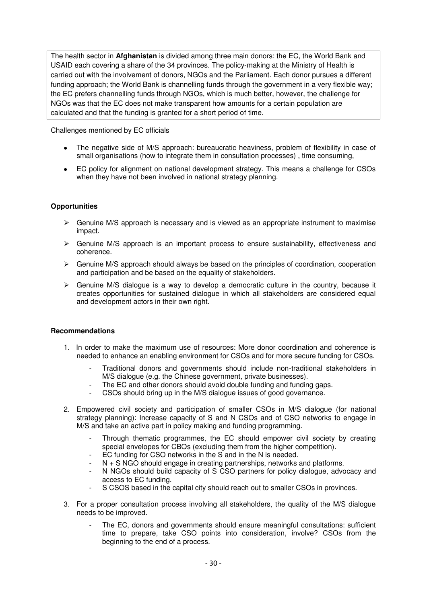The health sector in **Afghanistan** is divided among three main donors: the EC, the World Bank and USAID each covering a share of the 34 provinces. The policy-making at the Ministry of Health is carried out with the involvement of donors, NGOs and the Parliament. Each donor pursues a different funding approach; the World Bank is channelling funds through the government in a very flexible way; the EC prefers channelling funds through NGOs, which is much better, however, the challenge for NGOs was that the EC does not make transparent how amounts for a certain population are calculated and that the funding is granted for a short period of time.

Challenges mentioned by EC officials

- The negative side of M/S approach: bureaucratic heaviness, problem of flexibility in case of small organisations (how to integrate them in consultation processes) , time consuming,
- EC policy for alignment on national development strategy. This means a challenge for CSOs when they have not been involved in national strategy planning.

## **Opportunities**

- $\triangleright$  Genuine M/S approach is necessary and is viewed as an appropriate instrument to maximise impact.
- $\triangleright$  Genuine M/S approach is an important process to ensure sustainability, effectiveness and coherence.
- $\triangleright$  Genuine M/S approach should always be based on the principles of coordination, cooperation and participation and be based on the equality of stakeholders.
- $\triangleright$  Genuine M/S dialogue is a way to develop a democratic culture in the country, because it creates opportunities for sustained dialogue in which all stakeholders are considered equal and development actors in their own right.

#### **Recommendations**

- 1. In order to make the maximum use of resources: More donor coordination and coherence is needed to enhance an enabling environment for CSOs and for more secure funding for CSOs.
	- Traditional donors and governments should include non-traditional stakeholders in M/S dialogue (e.g. the Chinese government, private businesses).
	- The EC and other donors should avoid double funding and funding gaps.
	- CSOs should bring up in the M/S dialogue issues of good governance.
- 2. Empowered civil society and participation of smaller CSOs in M/S dialogue (for national strategy planning): Increase capacity of S and N CSOs and of CSO networks to engage in M/S and take an active part in policy making and funding programming.
	- Through thematic programmes, the EC should empower civil society by creating special envelopes for CBOs (excluding them from the higher competition).
	- EC funding for CSO networks in the S and in the N is needed.
	- N + S NGO should engage in creating partnerships, networks and platforms.
	- N NGOs should build capacity of S CSO partners for policy dialogue, advocacy and access to EC funding.
	- S CSOS based in the capital city should reach out to smaller CSOs in provinces.
- 3. For a proper consultation process involving all stakeholders, the quality of the M/S dialogue needs to be improved.
	- The EC, donors and governments should ensure meaningful consultations: sufficient time to prepare, take CSO points into consideration, involve? CSOs from the beginning to the end of a process.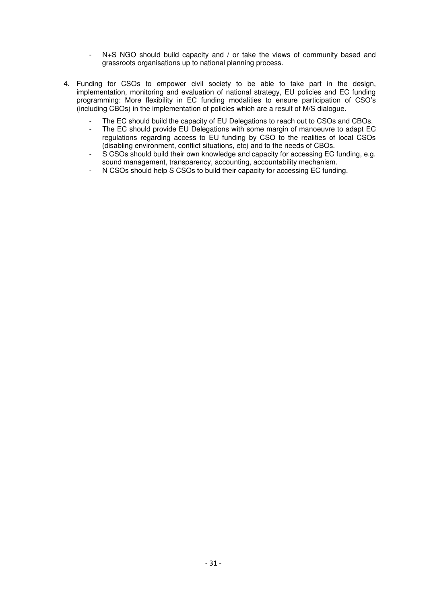- N+S NGO should build capacity and / or take the views of community based and grassroots organisations up to national planning process.
- 4. Funding for CSOs to empower civil society to be able to take part in the design, implementation, monitoring and evaluation of national strategy, EU policies and EC funding programming: More flexibility in EC funding modalities to ensure participation of CSO's (including CBOs) in the implementation of policies which are a result of M/S dialogue.
	- The EC should build the capacity of EU Delegations to reach out to CSOs and CBOs.
	- The EC should provide EU Delegations with some margin of manoeuvre to adapt EC regulations regarding access to EU funding by CSO to the realities of local CSOs (disabling environment, conflict situations, etc) and to the needs of CBOs.
	- S CSOs should build their own knowledge and capacity for accessing EC funding, e.g. sound management, transparency, accounting, accountability mechanism.
	- N CSOs should help S CSOs to build their capacity for accessing EC funding.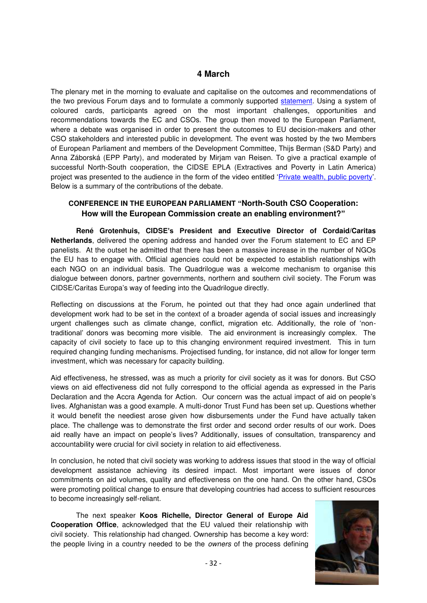## **4 March**

The plenary met in the morning to evaluate and capitalise on the outcomes and recommendations of the two previous Forum days and to formulate a commonly supported [statement.](http://www.cidse.org/WorkArea/linkit.aspx?LinkIdentifier=id&ItemID=1638) Using a system of coloured cards, participants agreed on the most important challenges, opportunities and recommendations towards the EC and CSOs. The group then moved to the European Parliament, where a debate was organised in order to present the outcomes to EU decision-makers and other CSO stakeholders and interested public in development. The event was hosted by the two Members of European Parliament and members of the Development Committee, Thijs Berman (S&D Party) and Anna Záborská (EPP Party), and moderated by Mirjam van Reisen. To give a practical example of successful North-South cooperation, the CIDSE EPLA (Extractives and Poverty in Latin America) project was presented to the audience in the form of the video entitled '[Private wealth, public poverty](http://www.youtube.com/user/CIDSEonline#play/all/uploads-all/2/-i9NP7dVNZk)'. Below is a summary of the contributions of the debate.

## <span id="page-31-0"></span>**CONFERENCE IN THE EUROPEAN PARLIAMENT "North-South CSO Cooperation: How will the European Commission create an enabling environment?"**

**René Grotenhuis, CIDSE's President and Executive Director of Cordaid/Caritas Netherlands**, delivered the opening address and handed over the Forum statement to EC and EP panelists. At the outset he admitted that there has been a massive increase in the number of NGOs the EU has to engage with. Official agencies could not be expected to establish relationships with each NGO on an individual basis. The Quadrilogue was a welcome mechanism to organise this dialogue between donors, partner governments, northern and southern civil society. The Forum was CIDSE/Caritas Europa's way of feeding into the Quadrilogue directly.

Reflecting on discussions at the Forum, he pointed out that they had once again underlined that development work had to be set in the context of a broader agenda of social issues and increasingly urgent challenges such as climate change, conflict, migration etc. Additionally, the role of 'nontraditional' donors was becoming more visible. The aid environment is increasingly complex. The capacity of civil society to face up to this changing environment required investment. This in turn required changing funding mechanisms. Projectised funding, for instance, did not allow for longer term investment, which was necessary for capacity building.

Aid effectiveness, he stressed, was as much a priority for civil society as it was for donors. But CSO views on aid effectiveness did not fully correspond to the official agenda as expressed in the Paris Declaration and the Accra Agenda for Action. Our concern was the actual impact of aid on people's lives. Afghanistan was a good example. A multi-donor Trust Fund has been set up. Questions whether it would benefit the neediest arose given how disbursements under the Fund have actually taken place. The challenge was to demonstrate the first order and second order results of our work. Does aid really have an impact on people's lives? Additionally, issues of consultation, transparency and accountability were crucial for civil society in relation to aid effectiveness.

In conclusion, he noted that civil society was working to address issues that stood in the way of official development assistance achieving its desired impact. Most important were issues of donor commitments on aid volumes, quality and effectiveness on the one hand. On the other hand, CSOs were promoting political change to ensure that developing countries had access to sufficient resources to become increasingly self-reliant.

The next speaker **Koos Richelle, Director General of Europe Aid Cooperation Office**, acknowledged that the EU valued their relationship with civil society. This relationship had changed. Ownership has become a key word: the people living in a country needed to be the *owners* of the process defining

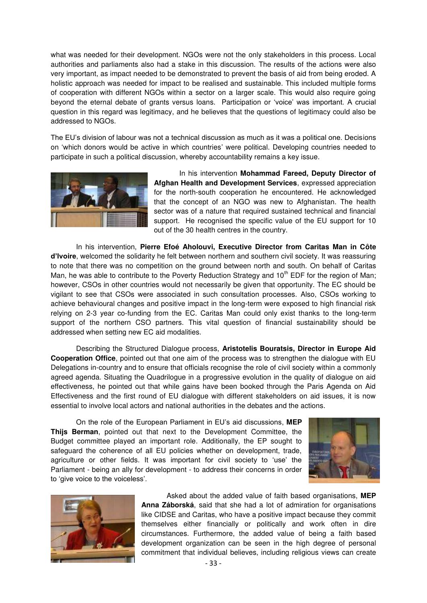what was needed for their development. NGOs were not the only stakeholders in this process. Local authorities and parliaments also had a stake in this discussion. The results of the actions were also very important, as impact needed to be demonstrated to prevent the basis of aid from being eroded. A holistic approach was needed for impact to be realised and sustainable. This included multiple forms of cooperation with different NGOs within a sector on a larger scale. This would also require going beyond the eternal debate of grants versus loans. Participation or 'voice' was important. A crucial question in this regard was legitimacy, and he believes that the questions of legitimacy could also be addressed to NGOs.

The EU's division of labour was not a technical discussion as much as it was a political one. Decisions on ‗which donors would be active in which countries' were political. Developing countries needed to participate in such a political discussion, whereby accountability remains a key issue.



In his intervention **Mohammad Fareed, Deputy Director of Afghan Health and Development Services**, expressed appreciation for the north-south cooperation he encountered. He acknowledged that the concept of an NGO was new to Afghanistan. The health sector was of a nature that required sustained technical and financial support. He recognised the specific value of the EU support for 10 out of the 30 health centres in the country.

In his intervention, **Pierre Efoé Aholouvi, Executive Director from Caritas Man in Côte d'Ivoire**, welcomed the solidarity he felt between northern and southern civil society. It was reassuring to note that there was no competition on the ground between north and south. On behalf of Caritas Man, he was able to contribute to the Poverty Reduction Strategy and  $10<sup>th</sup>$  EDF for the region of Man; however, CSOs in other countries would not necessarily be given that opportunity. The EC should be vigilant to see that CSOs were associated in such consultation processes. Also, CSOs working to achieve behavioural changes and positive impact in the long-term were exposed to high financial risk relying on 2-3 year co-funding from the EC. Caritas Man could only exist thanks to the long-term support of the northern CSO partners. This vital question of financial sustainability should be addressed when setting new EC aid modalities.

Describing the Structured Dialogue process, **Aristotelis Bouratsis, Director in Europe Aid Cooperation Office**, pointed out that one aim of the process was to strengthen the dialogue with EU Delegations in-country and to ensure that officials recognise the role of civil society within a commonly agreed agenda. Situating the Quadrilogue in a progressive evolution in the quality of dialogue on aid effectiveness, he pointed out that while gains have been booked through the Paris Agenda on Aid Effectiveness and the first round of EU dialogue with different stakeholders on aid issues, it is now essential to involve local actors and national authorities in the debates and the actions.

On the role of the European Parliament in EU's aid discussions, **MEP Thijs Berman**, pointed out that next to the Development Committee, the Budget committee played an important role. Additionally, the EP sought to safeguard the coherence of all EU policies whether on development, trade, agriculture or other fields. It was important for civil society to 'use' the Parliament - being an ally for development - to address their concerns in order to 'give voice to the voiceless'.





Asked about the added value of faith based organisations, **MEP Anna Záborská**, said that she had a lot of admiration for organisations like CIDSE and Caritas, who have a positive impact because they commit themselves either financially or politically and work often in dire circumstances. Furthermore, the added value of being a faith based development organization can be seen in the high degree of personal commitment that individual believes, including religious views can create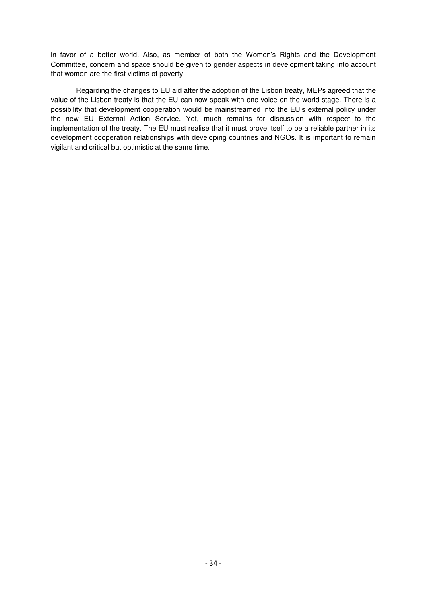in favor of a better world. Also, as member of both the Women's Rights and the Development Committee, concern and space should be given to gender aspects in development taking into account that women are the first victims of poverty.

Regarding the changes to EU aid after the adoption of the Lisbon treaty, MEPs agreed that the value of the Lisbon treaty is that the EU can now speak with one voice on the world stage. There is a possibility that development cooperation would be mainstreamed into the EU's external policy under the new EU External Action Service. Yet, much remains for discussion with respect to the implementation of the treaty. The EU must realise that it must prove itself to be a reliable partner in its development cooperation relationships with developing countries and NGOs. It is important to remain vigilant and critical but optimistic at the same time.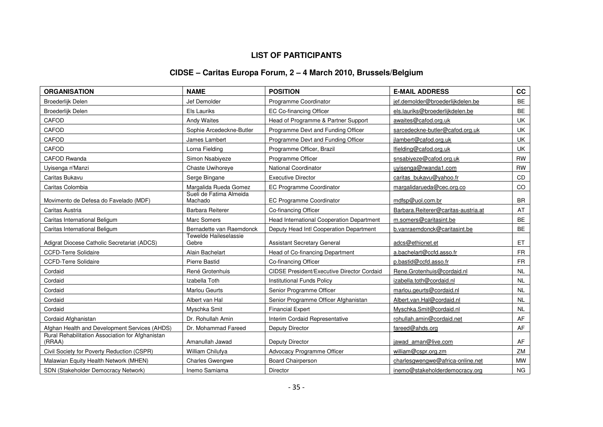# **LIST OF PARTICIPANTS**

# **CIDSE – Caritas Europa Forum, 2 – 4 March 2010, Brussels/Belgium**

<span id="page-34-0"></span>

| <b>ORGANISATION</b>                                        | <b>NAME</b>                        | <b>POSITION</b>                                   | <b>E-MAIL ADDRESS</b>               | cc        |
|------------------------------------------------------------|------------------------------------|---------------------------------------------------|-------------------------------------|-----------|
| Broederlijk Delen                                          | Jef Demolder                       | Programme Coordinator                             | jef.demolder@broederlijkdelen.be    | BE        |
| Broederlijk Delen                                          | Els Lauriks                        | EC Co-financing Officer                           | els.lauriks@broederlijkdelen.be     | <b>BE</b> |
| CAFOD                                                      | <b>Andy Waites</b>                 | Head of Programme & Partner Support               | awaites@cafod.org.uk                | UK        |
| CAFOD                                                      | Sophie Arcedeckne-Butler           | Programme Devt and Funding Officer                | sarcedeckne-butler@cafod.org.uk     | UK        |
| CAFOD                                                      | James Lambert                      | Programme Devt and Funding Officer                | jlambert@cafod.org.uk               | UK        |
| CAFOD                                                      | Lorna Fielding                     | Programme Officer, Brazil                         | lfielding@cafod.org.uk              | <b>UK</b> |
| <b>CAFOD Rwanda</b>                                        | Simon Nsabiyeze                    | Programme Officer                                 | snsabiyeze@cafod.org.uk             | <b>RW</b> |
| Uyisenga n'Manzi                                           | Chaste Uwihoreye                   | <b>National Coordinator</b>                       | uyisenga@rwanda1.com                | <b>RW</b> |
| Caritas Bukavu                                             | Serge Bingane                      | <b>Executive Director</b>                         | caritas_bukavu@yahoo.fr             | <b>CD</b> |
| Caritas Colombia                                           | Margalida Rueda Gomez              | EC Programme Coordinator                          | margalidarueda@cec.org.co           | CO        |
| Movimento de Defesa do Favelado (MDF)                      | Sueli de Fatima Almeida<br>Machado | EC Programme Coordinator                          | mdfsp@uol.com.br                    | <b>BR</b> |
| Caritas Austria                                            | <b>Barbara Reiterer</b>            | Co-financing Officer                              | Barbara.Reiterer@caritas-austria.at | AT        |
| Caritas International Beligum                              | <b>Marc Somers</b>                 | Head International Cooperation Department         | m.somers@caritasint.be              | <b>BE</b> |
| Caritas International Beligum                              | Bernadette van Raemdonck           | Deputy Head Intl Cooperation Department           | b.vanraemdonck@caritasint.be        | BE        |
| Adigrat Diocese Catholic Secretariat (ADCS)                | Tewelde Haileselassie<br>Gebre     | <b>Assistant Secretary General</b>                | adcs@ethionet.et                    | ET        |
| <b>CCFD-Terre Solidaire</b>                                | Alain Bachelart                    | Head of Co-financing Department                   | a.bachelart@ccfd.asso.fr            | <b>FR</b> |
| <b>CCFD-Terre Solidaire</b>                                | Pierre Bastid                      | Co-financing Officer                              | p.bastid@ccfd.asso.fr               | <b>FR</b> |
| Cordaid                                                    | René Grotenhuis                    | <b>CIDSE President/Executive Director Cordaid</b> | Rene.Grotenhuis@cordaid.nl          | <b>NL</b> |
| Cordaid                                                    | Izabella Toth                      | <b>Institutional Funds Policy</b>                 | izabella.toth@cordaid.nl            | <b>NL</b> |
| Cordaid                                                    | <b>Marlou Geurts</b>               | Senior Programme Officer                          | marlou.geurts@cordaid.nl            | <b>NL</b> |
| Cordaid                                                    | Albert van Hal                     | Senior Programme Officer Afghanistan              | Albert.van.Hal@cordaid.nl           | <b>NL</b> |
| Cordaid                                                    | Myschka Smit                       | <b>Financial Expert</b>                           | Myschka.Smit@cordaid.nl             | <b>NL</b> |
| Cordaid Afghanistan                                        | Dr. Rohullah Amin                  | Interim Cordaid Representative                    | rohullah.amin@cordaid.net           | AF        |
| Afghan Health and Development Services (AHDS)              | Dr. Mohammad Fareed                | Deputy Director                                   | fareed@ahds.org                     | AF        |
| Rural Rehabilitation Association for Afghanistan<br>(RRAA) | Amanullah Jawad                    | Deputy Director                                   | jawad aman@live.com                 | AF        |
| Civil Society for Poverty Reduction (CSPR)                 | William Chilufya                   | Advocacy Programme Officer                        | william@cspr.org.zm                 | ZM        |
| Malawian Equity Health Network (MHEN)                      | <b>Charles Gwengwe</b>             | <b>Board Chairperson</b>                          | charlesgwengwe@africa-online.net    | <b>MW</b> |
| SDN (Stakeholder Democracy Network)                        | Inemo Samiama                      | Director                                          | inemo@stakeholderdemocracy.org      | <b>NG</b> |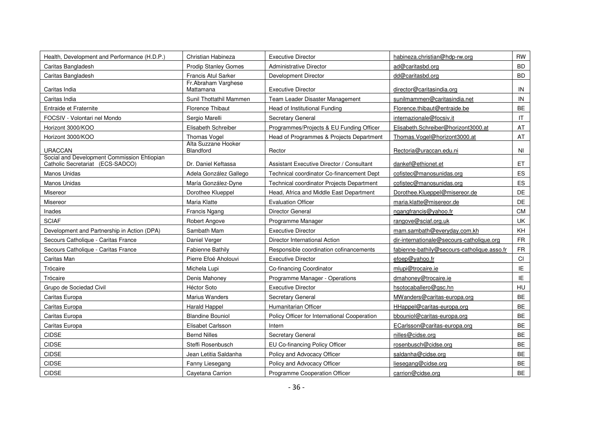| Health, Development and Performance (H.D.P.)                                    | Christian Habineza                      | <b>Executive Director</b>                    | habineza.christian@hdp-rw.org               | RW        |
|---------------------------------------------------------------------------------|-----------------------------------------|----------------------------------------------|---------------------------------------------|-----------|
| Caritas Bangladesh                                                              | <b>Prodip Stanley Gomes</b>             | Administrative Director                      | ad@caritasbd.org                            | <b>BD</b> |
| Caritas Bangladesh                                                              | <b>Francis Atul Sarker</b>              | Development Director                         | dd@caritasbd.org                            | <b>BD</b> |
| Caritas India                                                                   | Fr.Abraham Varghese<br>Mattamana        | <b>Executive Director</b>                    | director@caritasindia.org                   | IN        |
| Caritas India                                                                   | Sunil Thottathil Mammen                 | Team Leader Disaster Management              | sunilmammen@caritasindia.net                | IN        |
| Entraide et Fraternite                                                          | <b>Florence Thibaut</b>                 | Head of Institutional Funding                | Florence.thibaut@entraide.be                | <b>BE</b> |
| FOCSIV - Volontari nel Mondo                                                    | Sergio Marelli                          | Secretary General                            | internazionale@focsiv.it                    | IT.       |
| Horizont 3000/KOO                                                               | Elisabeth Schreiber                     | Programmes/Projects & EU Funding Officer     | Elisabeth.Schreiber@horizont3000.at         | AT        |
| Horizont 3000/KOO                                                               | <b>Thomas Vogel</b>                     | Head of Programmes & Projects Department     | Thomas.Vogel@horizont3000.at                | AT        |
| <b>URACCAN</b>                                                                  | Alta Suzzane Hooker<br><b>Blandford</b> | Rector                                       | Rectoria@uraccan.edu.ni                     | NI.       |
| Social and Development Commission Ehtiopian<br>Catholic Secretariat (ECS-SADCO) | Dr. Daniel Keftassa                     | Assistant Executive Director / Consultant    | dankef@ethionet.et                          | ET.       |
| Manos Unidas                                                                    | Adela González Gallego                  | Technical coordinator Co-financement Dept    | cofistec@manosunidas.org                    | ES        |
| Manos Unidas                                                                    | María González-Dyne                     | Technical coordinator Projects Department    | cofistec@manosunidas.org                    | ES        |
| Misereor                                                                        | Dorothee Klueppel                       | Head, Africa and Middle East Department      | Dorothee.Klueppel@misereor.de               | DE        |
| Misereor                                                                        | Maria Klatte                            | <b>Evaluation Officer</b>                    | maria.klatte@misereor.de                    | DE        |
| Inades                                                                          | <b>Francis Ngang</b>                    | Director General                             | ngangfrancis@yahoo.fr                       | CM.       |
| <b>SCIAF</b>                                                                    | Robert Angove                           | Programme Manager                            | rangove@sciaf.org.uk                        | UK        |
| Development and Partnership in Action (DPA)                                     | Sambath Mam                             | <b>Executive Director</b>                    | mam.sambath@everyday.com.kh                 | KH        |
| Secours Catholique - Caritas France                                             | Daniel Verger                           | Director International Action                | dir-internationale@secours-catholique.org   | <b>FR</b> |
| Secours Catholique - Caritas France                                             | <b>Fabienne Bathily</b>                 | Responsible coordination cofinancements      | fabienne-bathily@secours-catholique.asso.fr | <b>FR</b> |
| Caritas Man                                                                     | Pierre Efoé Aholouvi                    | <b>Executive Director</b>                    | efoep@yahoo.fr                              | CI        |
| Trócaire                                                                        | Michela Lupi                            | Co-financing Coordinator                     | mlupi@trocaire.ie                           | IE        |
| Trócaire                                                                        | Denis Mahonev                           | Programme Manager - Operations               | dmahoney@trocaire.ie                        | IE        |
| Grupo de Sociedad Civil                                                         | <b>Héctor Soto</b>                      | <b>Executive Director</b>                    | hsotocaballero@gsc.hn                       | <b>HU</b> |
| Caritas Europa                                                                  | Marius Wanders                          | Secretary General                            | MWanders@caritas-europa.org                 | <b>BE</b> |
| Caritas Europa                                                                  | <b>Harald Happel</b>                    | Humanitarian Officer                         | HHappel@caritas-europa.org                  | <b>BE</b> |
| Caritas Europa                                                                  | <b>Blandine Bouniol</b>                 | Policy Officer for International Cooperation | bbouniol@caritas-europa.org                 | <b>BE</b> |
| Caritas Europa                                                                  | Elisabet Carlsson                       | Intern                                       | ECarlsson@caritas-europa.org                | <b>BE</b> |
| <b>CIDSE</b>                                                                    | <b>Bernd Nilles</b>                     | Secretary General                            | nilles@cidse.org                            | BE        |
| <b>CIDSE</b>                                                                    | Steffi Rosenbusch                       | EU Co-financing Policy Officer               | rosenbusch@cidse.org                        | <b>BE</b> |
| CIDSE                                                                           | Jean Letitia Saldanha                   | Policy and Advocacy Officer                  | saldanha@cidse.org                          | <b>BE</b> |
| <b>CIDSE</b>                                                                    | Fanny Liesegang                         | Policy and Advocacy Officer                  | liesegang@cidse.org                         | BE        |
| <b>CIDSE</b>                                                                    | Cavetana Carrion                        | Programme Cooperation Officer                | carrion@cidse.org                           | <b>BE</b> |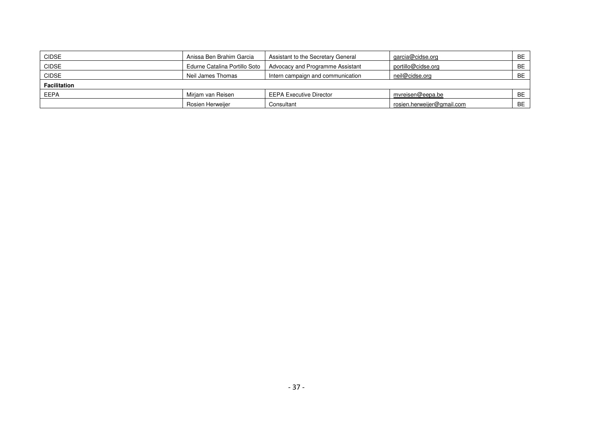| <b>CIDSE</b>        | Anissa Ben Brahim Garcia      | Assistant to the Secretary General | garcia@cidse.org           | <b>BE</b> |
|---------------------|-------------------------------|------------------------------------|----------------------------|-----------|
| <b>CIDSE</b>        | Edurne Catalina Portillo Soto | Advocacy and Programme Assistant   | portillo@cidse.org         | <b>BE</b> |
| <b>CIDSE</b>        | Neil James Thomas             | Intern campaign and communication  | neil@cidse.org             | <b>BE</b> |
| <b>Facilitation</b> |                               |                                    |                            |           |
| <b>EEPA</b>         | Mirjam van Reisen             | <b>EEPA Executive Director</b>     | mvreisen@eepa.be           | <b>BE</b> |
|                     | Rosien Herweijer              | Consultant                         | rosien.herweijer@gmail.com | <b>BE</b> |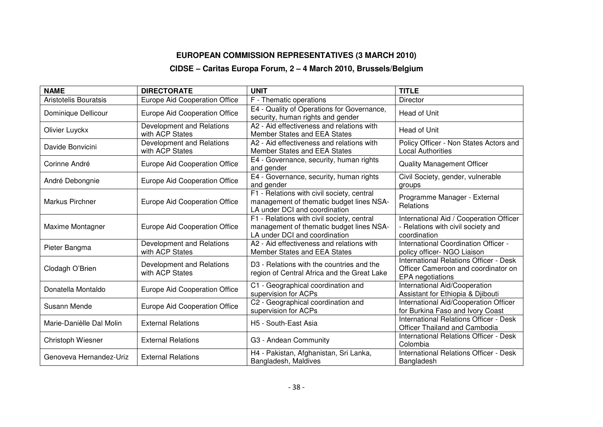# **EUROPEAN COMMISSION REPRESENTATIVES (3 MARCH 2010)**

# **CIDSE – Caritas Europa Forum, 2 – 4 March 2010, Brussels/Belgium**

| <b>NAME</b>              | <b>DIRECTORATE</b>                           | <b>UNIT</b>                                                                                                             | <b>TITLE</b>                                                                                             |
|--------------------------|----------------------------------------------|-------------------------------------------------------------------------------------------------------------------------|----------------------------------------------------------------------------------------------------------|
| Aristotelis Bouratsis    | <b>Europe Aid Cooperation Office</b>         | F - Thematic operations                                                                                                 | <b>Director</b>                                                                                          |
| Dominique Dellicour      | Europe Aid Cooperation Office                | E4 - Quality of Operations for Governance,<br>security, human rights and gender                                         | Head of Unit                                                                                             |
| Olivier Luyckx           | Development and Relations<br>with ACP States | A2 - Aid effectiveness and relations with<br>Member States and EEA States                                               | Head of Unit                                                                                             |
| Davide Bonvicini         | Development and Relations<br>with ACP States | A2 - Aid effectiveness and relations with<br>Member States and EEA States                                               | Policy Officer - Non States Actors and<br><b>Local Authorities</b>                                       |
| Corinne André            | Europe Aid Cooperation Office                | E4 - Governance, security, human rights<br>and gender                                                                   | <b>Quality Management Officer</b>                                                                        |
| André Debongnie          | Europe Aid Cooperation Office                | E4 - Governance, security, human rights<br>and gender                                                                   | Civil Society, gender, vulnerable<br>groups                                                              |
| <b>Markus Pirchner</b>   | Europe Aid Cooperation Office                | F1 - Relations with civil society, central<br>management of thematic budget lines NSA-<br>LA under DCI and coordination | Programme Manager - External<br>Relations                                                                |
| Maxime Montagner         | <b>Europe Aid Cooperation Office</b>         | F1 - Relations with civil society, central<br>management of thematic budget lines NSA-<br>LA under DCI and coordination | International Aid / Cooperation Officer<br>- Relations with civil society and<br>coordination            |
| Pieter Bangma            | Development and Relations<br>with ACP States | A2 - Aid effectiveness and relations with<br>Member States and EEA States                                               | International Coordination Officer -<br>policy officer- NGO Liaison                                      |
| Clodagh O'Brien          | Development and Relations<br>with ACP States | D3 - Relations with the countries and the<br>region of Central Africa and the Great Lake                                | <b>International Relations Officer - Desk</b><br>Officer Cameroon and coordinator on<br>EPA negotiations |
| Donatella Montaldo       | Europe Aid Cooperation Office                | C1 - Geographical coordination and<br>supervision for ACPs                                                              | International Aid/Cooperation<br>Assistant for Ethiopia & Djibouti                                       |
| Susann Mende             | Europe Aid Cooperation Office                | C2 - Geographical coordination and<br>supervision for ACPs                                                              | International Aid/Cooperation Officer<br>for Burkina Faso and Ivory Coast                                |
| Marie-Danièlle Dal Molin | <b>External Relations</b>                    | H5 - South-East Asia                                                                                                    | <b>International Relations Officer - Desk</b><br>Officer Thailand and Cambodia                           |
| Christoph Wiesner        | <b>External Relations</b>                    | G3 - Andean Community                                                                                                   | International Relations Officer - Desk<br>Colombia                                                       |
| Genoveva Hernandez-Uriz  | <b>External Relations</b>                    | H4 - Pakistan, Afghanistan, Sri Lanka,<br>Bangladesh, Maldives                                                          | <b>International Relations Officer - Desk</b><br>Bangladesh                                              |